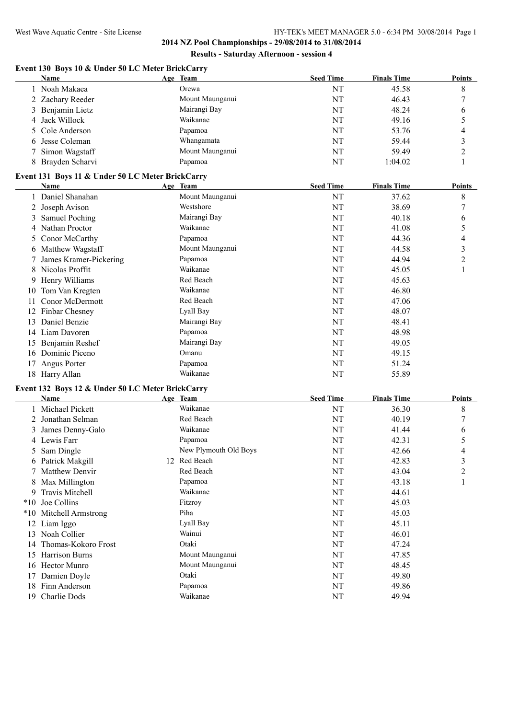## **Event 130 Boys 10 & Under 50 LC Meter BrickCarry**

|    | <b>Name</b>                                      | Age Team        | <b>Seed Time</b> | <b>Finals Time</b> | <b>Points</b> |
|----|--------------------------------------------------|-----------------|------------------|--------------------|---------------|
|    | Noah Makaea                                      | Orewa           | NT               | 45.58              | 8             |
|    | 2 Zachary Reeder                                 | Mount Maunganui | NT               | 46.43              | 7             |
| 3  | Benjamin Lietz                                   | Mairangi Bay    | NT               | 48.24              | 6             |
|    | 4 Jack Willock                                   | Waikanae        | NT               | 49.16              | 5             |
|    | Cole Anderson                                    | Papamoa         | NT               | 53.76              | 4             |
|    | Jesse Coleman                                    | Whangamata      | NT               | 59.44              | 3             |
|    | Simon Wagstaff                                   | Mount Maunganui | NT               | 59.49              | 2             |
|    | 8 Brayden Scharvi                                | Papamoa         | NT               | 1:04.02            |               |
|    | Event 131 Boys 11 & Under 50 LC Meter BrickCarry |                 |                  |                    |               |
|    | Name                                             | Age Team        | <b>Seed Time</b> | <b>Finals Time</b> | <b>Points</b> |
|    | Daniel Shanahan                                  | Mount Maunganui | NT               | 37.62              | 8             |
|    | 2 Joseph Avison                                  | Westshore       | NT               | 38.69              | 7             |
|    | Samuel Poching                                   | Mairangi Bay    | NT               | 40.18              | 6             |
|    | Nathan Proctor                                   | Waikanae        | NT               | 41.08              | 5             |
|    | 5 Conor McCarthy                                 | Papamoa         | NT               | 44.36              | 4             |
|    | Matthew Wagstaff                                 | Mount Maunganui | NT               | 44.58              | 3             |
|    | James Kramer-Pickering                           | Papamoa         | NT               | 44.94              | 2             |
|    | Nicolas Proffit                                  | Waikanae        | NT               | 45.05              |               |
|    | Henry Williams                                   | Red Beach       | NT               | 45.63              |               |
| 10 | Tom Van Kregten                                  | Waikanae        | NT               | 46.80              |               |
|    |                                                  |                 |                  |                    |               |

| 0.11001031101110   |              | $\mathbf{1}$ | $T_{\rm \nu}$ . $\sigma_{\rm \nu}$ |
|--------------------|--------------|--------------|------------------------------------|
| 9 Henry Williams   | Red Beach    | NT           | 45.63                              |
| 10 Tom Van Kregten | Waikanae     | NT           | 46.80                              |
| 11 Conor McDermott | Red Beach    | NT           | 47.06                              |
| 12 Finbar Chesney  | Lyall Bay    | NT           | 48.07                              |
| 13 Daniel Benzie   | Mairangi Bay | NT           | 48.41                              |
| 14 Liam Davoren    | Papamoa      | NT           | 48.98                              |
| 15 Benjamin Reshef | Mairangi Bay | NT           | 49.05                              |
| 16 Dominic Piceno  | Omanu        | NT           | 49.15                              |
| 17 Angus Porter    | Papamoa      | NT           | 51.24                              |
| 18 Harry Allan     | Waikanae     | NT           | 55.89                              |

# **Event 132 Boys 12 & Under 50 LC Meter BrickCarry**

|           | Name                | Age Team              | <b>Seed Time</b> | <b>Finals Time</b> | Points |
|-----------|---------------------|-----------------------|------------------|--------------------|--------|
|           | 1 Michael Pickett   | Waikanae              | NT               | 36.30              | 8      |
|           | 2 Jonathan Selman   | Red Beach             | NT               | 40.19              | 7      |
|           | 3 James Denny-Galo  | Waikanae              | NT               | 41.44              | 6      |
|           | 4 Lewis Farr        | Papamoa               | NT               | 42.31              | 5      |
|           | 5 Sam Dingle        | New Plymouth Old Boys | NT               | 42.66              | 4      |
|           | 6 Patrick Makgill   | 12 Red Beach          | NT               | 42.83              | 3      |
|           | 7 Matthew Denvir    | Red Beach             | NT               | 43.04              | 2      |
|           | 8 Max Millington    | Papamoa               | NT               | 43.18              |        |
|           | 9 Travis Mitchell   | Waikanae              | NT               | 44.61              |        |
| $*10$     | Joe Collins         | Fitzroy               | NT               | 45.03              |        |
| $*10^{-}$ | Mitchell Armstrong  | Piha                  | NT               | 45.03              |        |
| 12        | Liam Iggo           | Lyall Bay             | NT               | 45.11              |        |
| 13        | Noah Collier        | Wainui                | NT               | 46.01              |        |
| 14        | Thomas-Kokoro Frost | Otaki                 | NT               | 47.24              |        |
| 15        | Harrison Burns      | Mount Maunganui       | NT               | 47.85              |        |
| 16        | <b>Hector Munro</b> | Mount Maunganui       | NT               | 48.45              |        |
| 17        | Damien Doyle        | Otaki                 | NT               | 49.80              |        |
| 18        | Finn Anderson       | Papamoa               | NT               | 49.86              |        |
| 19.       | Charlie Dods        | Waikanae              | NT               | 49.94              |        |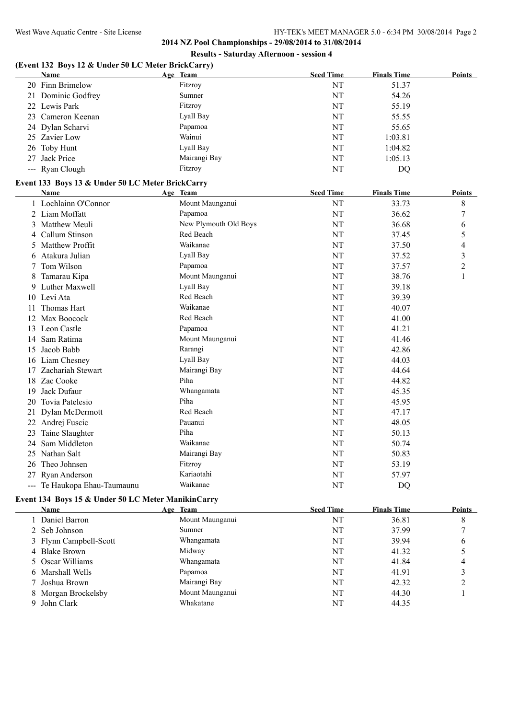#### **(Event 132 Boys 12 & Under 50 LC Meter BrickCarry)**

| Name               | Age Team     | <b>Seed Time</b> | <b>Finals Time</b> | Points |
|--------------------|--------------|------------------|--------------------|--------|
| 20 Finn Brimelow   | Fitzroy      | NT               | 51.37              |        |
| 21 Dominic Godfrey | Sumner       | NT               | 54.26              |        |
| 22 Lewis Park      | Fitzroy      | NT               | 55.19              |        |
| 23 Cameron Keenan  | Lyall Bay    | NT               | 55.55              |        |
| 24 Dylan Scharvi   | Papamoa      | NT               | 55.65              |        |
| 25 Zavier Low      | Wainui       | NT               | 1:03.81            |        |
| 26 Toby Hunt       | Lyall Bay    | NT               | 1:04.82            |        |
| 27 Jack Price      | Mairangi Bay | NT               | 1:05.13            |        |
| --- Ryan Clough    | Fitzroy      | NT               | DQ                 |        |

## **Event 133 Boys 13 & Under 50 LC Meter BrickCarry**

|    | Name                         | Age Team              | <b>Seed Time</b> | <b>Finals Time</b> | <b>Points</b>  |
|----|------------------------------|-----------------------|------------------|--------------------|----------------|
|    | Lochlainn O'Connor           | Mount Maunganui       | NT               | 33.73              | 8              |
|    | Liam Moffatt                 | Papamoa               | NT               | 36.62              | 7              |
| 3  | Matthew Meuli                | New Plymouth Old Boys | NT               | 36.68              | 6              |
| 4  | Callum Stinson               | Red Beach             | NT               | 37.45              | 5              |
| 5  | <b>Matthew Proffit</b>       | Waikanae              | NT               | 37.50              | 4              |
| 6  | Atakura Julian               | Lyall Bay             | NT               | 37.52              | 3              |
|    | Tom Wilson                   | Papamoa               | NT               | 37.57              | $\overline{c}$ |
| 8  | Tamarau Kipa                 | Mount Maunganui       | NT               | 38.76              | 1              |
| 9  | Luther Maxwell               | Lyall Bay             | NT               | 39.18              |                |
|    | 10 Levi Ata                  | Red Beach             | NT               | 39.39              |                |
| 11 | Thomas Hart                  | Waikanae              | NT               | 40.07              |                |
| 12 | Max Boocock                  | Red Beach             | NT               | 41.00              |                |
| 13 | Leon Castle                  | Papamoa               | NT               | 41.21              |                |
| 14 | Sam Ratima                   | Mount Maunganui       | NT               | 41.46              |                |
| 15 | Jacob Babb                   | Rarangi               | NT               | 42.86              |                |
| 16 | Liam Chesney                 | Lyall Bay             | NT               | 44.03              |                |
| 17 | Zachariah Stewart            | Mairangi Bay          | NT               | 44.64              |                |
| 18 | Zac Cooke                    | Piha                  | NT               | 44.82              |                |
| 19 | Jack Dufaur                  | Whangamata            | NT               | 45.35              |                |
| 20 | Tovia Patelesio              | Piha                  | NT               | 45.95              |                |
| 21 | Dylan McDermott              | Red Beach             | NT               | 47.17              |                |
| 22 | Andrej Fuscic                | Pauanui               | NT               | 48.05              |                |
| 23 | Taine Slaughter              | Piha                  | NT               | 50.13              |                |
| 24 | Sam Middleton                | Waikanae              | NT               | 50.74              |                |
| 25 | Nathan Salt                  | Mairangi Bay          | NT               | 50.83              |                |
| 26 | Theo Johnsen                 | Fitzroy               | NT               | 53.19              |                |
| 27 | Ryan Anderson                | Kariaotahi            | NT               | 57.97              |                |
|    | --- Te Haukopa Ehau-Taumaunu | Waikanae              | NT               | DQ                 |                |

## **Event 134 Boys 15 & Under 50 LC Meter ManikinCarry**

| <b>Name</b>            | Age Team        | <b>Seed Time</b> | <b>Finals Time</b> | <b>Points</b> |
|------------------------|-----------------|------------------|--------------------|---------------|
| 1 Daniel Barron        | Mount Maunganui | NT               | 36.81              | 8             |
| 2 Seb Johnson          | Sumner          | NT               | 37.99              |               |
| 3 Flynn Campbell-Scott | Whangamata      | NT               | 39.94              | 6             |
| 4 Blake Brown          | Midway          | NT               | 41.32              |               |
| 5 Oscar Williams       | Whangamata      | NT               | 41.84              | 4             |
| 6 Marshall Wells       | Papamoa         | NT               | 41.91              |               |
| 7 Joshua Brown         | Mairangi Bay    | NT               | 42.32              |               |
| 8 Morgan Brockelsby    | Mount Maunganui | NT               | 44.30              |               |
| 9 John Clark           | Whakatane       | NΤ               | 44.35              |               |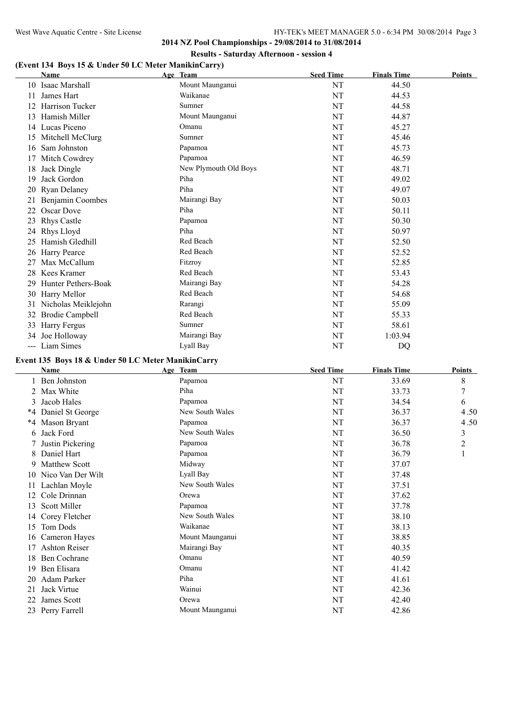**2014 NZ Pool Championships - 29/08/2014 to 31/08/2014 Results - Saturday Afternoon - session 4**

# **(Event 134 Boys 15 & Under 50 LC Meter ManikinCarry)**

|    | <b>Name</b>                | Age Team              | <b>Seed Time</b> | <b>Finals Time</b> | <b>Points</b> |
|----|----------------------------|-----------------------|------------------|--------------------|---------------|
| 10 | Isaac Marshall             | Mount Maunganui       | NT               | 44.50              |               |
| 11 | James Hart                 | Waikanae              | NT               | 44.53              |               |
| 12 | Harrison Tucker            | Sumner                | NT               | 44.58              |               |
| 13 | Hamish Miller              | Mount Maunganui       | NT               | 44.87              |               |
| 14 | Lucas Piceno               | Omanu                 | NT               | 45.27              |               |
| 15 | Mitchell McClurg           | Sumner                | NT               | 45.46              |               |
| 16 | Sam Johnston               | Papamoa               | NT               | 45.73              |               |
| 17 | Mitch Cowdrey              | Papamoa               | NT               | 46.59              |               |
| 18 | Jack Dingle                | New Plymouth Old Boys | NT               | 48.71              |               |
| 19 | Jack Gordon                | Piha                  | NT               | 49.02              |               |
| 20 | <b>Ryan Delaney</b>        | Piha                  | NT               | 49.07              |               |
| 21 | Benjamin Coombes           | Mairangi Bay          | NT               | 50.03              |               |
| 22 | Oscar Dove                 | Piha                  | NT               | 50.11              |               |
| 23 | <b>Rhys Castle</b>         | Papamoa               | NT               | 50.30              |               |
| 24 | Rhys Lloyd                 | Piha                  | NT               | 50.97              |               |
| 25 | Hamish Gledhill            | Red Beach             | NT               | 52.50              |               |
| 26 | Harry Pearce               | Red Beach             | NT               | 52.52              |               |
| 27 | Max McCallum               | Fitzroy               | NT               | 52.85              |               |
| 28 | Kees Kramer                | Red Beach             | NT               | 53.43              |               |
| 29 | <b>Hunter Pethers-Boak</b> | Mairangi Bay          | NT               | 54.28              |               |
| 30 | Harry Mellor               | Red Beach             | NT               | 54.68              |               |
| 31 | Nicholas Meiklejohn        | Rarangi               | NT               | 55.09              |               |
| 32 | <b>Brodie Campbell</b>     | Red Beach             | NT               | 55.33              |               |
| 33 | Harry Fergus               | Sumner                | NT               | 58.61              |               |
| 34 | Joe Holloway               | Mairangi Bay          | NT               | 1:03.94            |               |
|    | --- Liam Simes             | Lyall Bay             | NT               | DQ                 |               |

## **Event 135 Boys 18 & Under 50 LC Meter ManikinCarry**

 $\overline{\phantom{a}}$ 

|    | Name                 | Age Team        | <b>Seed Time</b> | <b>Finals Time</b> | <b>Points</b>  |
|----|----------------------|-----------------|------------------|--------------------|----------------|
|    | Ben Johnston         | Papamoa         | NT               | 33.69              | 8              |
|    | Max White            | Piha            | NT               | 33.73              | 7              |
| 3  | Jacob Hales          | Papamoa         | NT               | 34.54              | 6              |
| *4 | Daniel St George     | New South Wales | NT               | 36.37              | 4.50           |
| *4 | Mason Bryant         | Papamoa         | NT               | 36.37              | 4.50           |
| 6  | Jack Ford            | New South Wales | NT               | 36.50              | 3              |
|    | Justin Pickering     | Papamoa         | NT               | 36.78              | $\overline{c}$ |
| 8  | Daniel Hart          | Papamoa         | NT               | 36.79              | 1              |
| 9. | Matthew Scott        | Midway          | NT               | 37.07              |                |
| 10 | Nico Van Der Wilt    | Lyall Bay       | NT               | 37.48              |                |
|    | Lachlan Moyle        | New South Wales | NT               | 37.51              |                |
| 12 | Cole Drinnan         | Orewa           | NT               | 37.62              |                |
| 13 | <b>Scott Miller</b>  | Papamoa         | NT               | 37.78              |                |
| 14 | Corey Fletcher       | New South Wales | NT               | 38.10              |                |
| 15 | Tom Dods             | Waikanae        | NT               | 38.13              |                |
| 16 | Cameron Hayes        | Mount Maunganui | NT               | 38.85              |                |
| 17 | <b>Ashton Reiser</b> | Mairangi Bay    | NT               | 40.35              |                |
| 18 | <b>Ben Cochrane</b>  | Omanu           | NT               | 40.59              |                |
| 19 | Ben Elisara          | Omanu           | NT               | 41.42              |                |
| 20 | Adam Parker          | Piha            | NT               | 41.61              |                |
| 21 | Jack Virtue          | Wainui          | NT               | 42.36              |                |
| 22 | James Scott          | Orewa           | NT               | 42.40              |                |
|    | 23 Perry Farrell     | Mount Maunganui | NT               | 42.86              |                |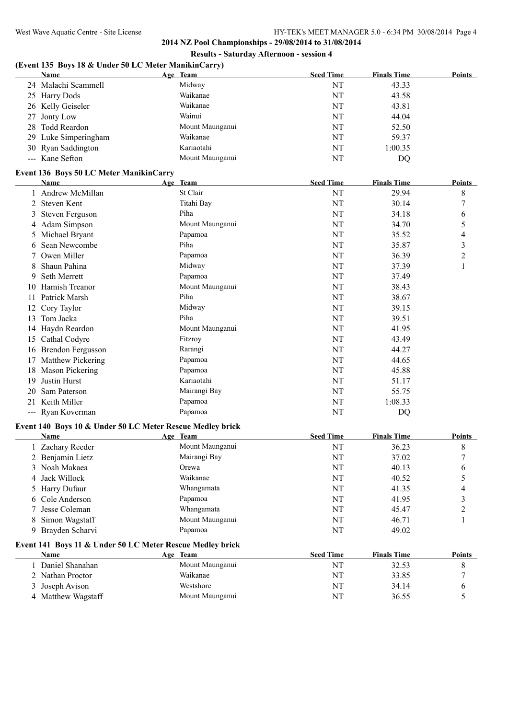## **(Event 135 Boys 18 & Under 50 LC Meter ManikinCarry)**

| <b>Name</b>          | Age Team        | <b>Seed Time</b> | <b>Finals Time</b> | <b>Points</b> |
|----------------------|-----------------|------------------|--------------------|---------------|
| 24 Malachi Scammell  | Midway          | NT               | 43.33              |               |
| 25 Harry Dods        | Waikanae        | NT               | 43.58              |               |
| 26 Kelly Geiseler    | Waikanae        | NT               | 43.81              |               |
| 27 Jonty Low         | Wainui          | NT               | 44.04              |               |
| 28 Todd Reardon      | Mount Maunganui | NT               | 52.50              |               |
| 29 Luke Simperingham | Waikanae        | NT               | 59.37              |               |
| 30 Ryan Saddington   | Kariaotahi      | NT               | 1:00.35            |               |
| --- Kane Sefton      | Mount Maunganui | NT               | DO                 |               |

#### **Event 136 Boys 50 LC Meter ManikinCarry**

|     | <b>Name</b>              | Age Team        | <b>Seed Time</b> | <b>Finals Time</b> | <b>Points</b> |
|-----|--------------------------|-----------------|------------------|--------------------|---------------|
|     | Andrew McMillan          | St Clair        | NT               | 29.94              | 8             |
|     | Steven Kent              | Titahi Bay      | NT               | 30.14              | 7             |
| 3   | <b>Steven Ferguson</b>   | Piha            | NT               | 34.18              | 6             |
|     | 4 Adam Simpson           | Mount Maunganui | NT               | 34.70              | 5             |
|     | 5 Michael Bryant         | Papamoa         | NT               | 35.52              | 4             |
| 6   | Sean Newcombe            | Piha            | NT               | 35.87              | 3             |
|     | Owen Miller              | Papamoa         | NT               | 36.39              | 2             |
| 8   | Shaun Pahina             | Midway          | NT               | 37.39              | $\mathbf{I}$  |
| 9.  | Seth Merrett             | Papamoa         | NT               | 37.49              |               |
| 10  | Hamish Treanor           | Mount Maunganui | NT               | 38.43              |               |
| 11  | Patrick Marsh            | Piha            | NT               | 38.67              |               |
| 12  | Cory Taylor              | Midway          | NT               | 39.15              |               |
| 13  | Tom Jacka                | Piha            | NT               | 39.51              |               |
|     | 14 Haydn Reardon         | Mount Maunganui | NT               | 41.95              |               |
| 15  | Cathal Codyre            | Fitzroy         | NT               | 43.49              |               |
| 16  | <b>Brendon Fergusson</b> | Rarangi         | NT               | 44.27              |               |
| 17  | Matthew Pickering        | Papamoa         | NT               | 44.65              |               |
| 18  | Mason Pickering          | Papamoa         | NT               | 45.88              |               |
| 19  | Justin Hurst             | Kariaotahi      | NT               | 51.17              |               |
| 20  | Sam Paterson             | Mairangi Bay    | NT               | 55.75              |               |
| 21  | Keith Miller             | Papamoa         | NT               | 1:08.33            |               |
| --- | Ryan Koverman            | Papamoa         | NT               | DQ                 |               |

#### **Event 140 Boys 10 & Under 50 LC Meter Rescue Medley brick**

| Name                                                      | Age Team |                 | <b>Seed Time</b> | <b>Finals Time</b> | <b>Points</b> |
|-----------------------------------------------------------|----------|-----------------|------------------|--------------------|---------------|
| Zachary Reeder                                            |          | Mount Maunganui | NT               | 36.23              | 8             |
| 2 Benjamin Lietz                                          |          | Mairangi Bay    | NT               | 37.02              |               |
| 3 Noah Makaea                                             |          | Orewa           | NT               | 40.13              | 6             |
| 4 Jack Willock                                            |          | Waikanae        | NT               | 40.52              |               |
| 5 Harry Dufaur                                            |          | Whangamata      | NT               | 41.35              | 4             |
| 6 Cole Anderson                                           |          | Papamoa         | NT               | 41.95              | 3             |
| 7 Jesse Coleman                                           |          | Whangamata      | NT               | 45.47              | ↑             |
| 8 Simon Wagstaff                                          |          | Mount Maunganui | NT               | 46.71              |               |
| 9 Brayden Scharvi                                         |          | Papamoa         | NT               | 49.02              |               |
| Event 141 Boys 11 & Under 50 LC Meter Rescue Medley brick |          |                 |                  |                    |               |
| <b>Name</b>                                               | Age Team |                 | <b>Seed Time</b> | <b>Finals Time</b> | <b>Points</b> |
| Daniel Shanahan                                           |          | Mount Maunganui | NT               | 32.53              | 8             |
| 2 Nathan Proctor                                          |          | Waikanae        | NT               | 33.85              |               |

3 Joseph Avison Westshore Westshore NT 34.14 6 4 Matthew Wagstaff Mount Maunganui NT 36.55 5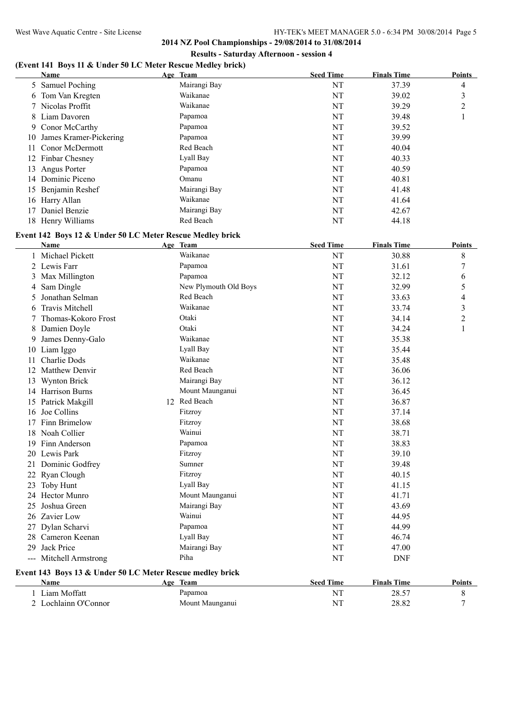# **(Event 141 Boys 11 & Under 50 LC Meter Rescue Medley brick)**

|    | <b>Name</b>               | Age Team     | <b>Seed Time</b> | <b>Finals Time</b> | <b>Points</b>  |
|----|---------------------------|--------------|------------------|--------------------|----------------|
|    | 5 Samuel Poching          | Mairangi Bay | NT               | 37.39              | 4              |
|    | 6 Tom Van Kregten         | Waikanae     | NT               | 39.02              | 3              |
|    | 7 Nicolas Proffit         | Waikanae     | NT               | 39.29              | $\overline{2}$ |
|    | 8 Liam Davoren            | Papamoa      | NT               | 39.48              |                |
|    | 9 Conor McCarthy          | Papamoa      | NT               | 39.52              |                |
|    | 10 James Kramer-Pickering | Papamoa      | NT               | 39.99              |                |
|    | 11 Conor McDermott        | Red Beach    | NT               | 40.04              |                |
|    | 12 Finbar Chesney         | Lyall Bay    | NT               | 40.33              |                |
| 13 | Angus Porter              | Papamoa      | NT               | 40.59              |                |
| 14 | Dominic Piceno            | Omanu        | NT               | 40.81              |                |
| 15 | Benjamin Reshef           | Mairangi Bay | NT               | 41.48              |                |
|    | 16 Harry Allan            | Waikanae     | NT               | 41.64              |                |
| 17 | Daniel Benzie             | Mairangi Bay | NT               | 42.67              |                |
|    | 18 Henry Williams         | Red Beach    | NT               | 44.18              |                |

# **Event 142 Boys 12 & Under 50 LC Meter Rescue Medley brick**

|    | <b>Name</b>                                               | Age Team              | <b>Seed Time</b> | <b>Finals Time</b> | <b>Points</b>  |
|----|-----------------------------------------------------------|-----------------------|------------------|--------------------|----------------|
|    | 1 Michael Pickett                                         | Waikanae              | NT               | 30.88              | 8              |
|    | 2 Lewis Farr                                              | Papamoa               | NT               | 31.61              | $\overline{7}$ |
| 3  | Max Millington                                            | Papamoa               | NT               | 32.12              | 6              |
| 4  | Sam Dingle                                                | New Plymouth Old Boys | NT               | 32.99              | 5              |
| 5. | Jonathan Selman                                           | Red Beach             | NT               | 33.63              | 4              |
| 6  | <b>Travis Mitchell</b>                                    | Waikanae              | NT               | 33.74              | 3              |
|    | Thomas-Kokoro Frost                                       | Otaki                 | NT               | 34.14              | $\overline{c}$ |
|    | 8 Damien Doyle                                            | Otaki                 | NT               | 34.24              | $\mathbf{1}$   |
| 9  | James Denny-Galo                                          | Waikanae              | NT               | 35.38              |                |
|    | 10 Liam Iggo                                              | Lyall Bay             | NT               | 35.44              |                |
| 11 | Charlie Dods                                              | Waikanae              | NT               | 35.48              |                |
|    | 12 Matthew Denvir                                         | Red Beach             | NT               | 36.06              |                |
| 13 | <b>Wynton Brick</b>                                       | Mairangi Bay          | NT               | 36.12              |                |
|    | 14 Harrison Burns                                         | Mount Maunganui       | NT               | 36.45              |                |
|    | 15 Patrick Makgill                                        | 12 Red Beach          | NT               | 36.87              |                |
| 16 | Joe Collins                                               | Fitzroy               | NT               | 37.14              |                |
| 17 | Finn Brimelow                                             | Fitzroy               | NT               | 38.68              |                |
| 18 | Noah Collier                                              | Wainui                | NT               | 38.71              |                |
| 19 | Finn Anderson                                             | Papamoa               | NT               | 38.83              |                |
|    | 20 Lewis Park                                             | Fitzroy               | NT               | 39.10              |                |
|    | 21 Dominic Godfrey                                        | Sumner                | NT               | 39.48              |                |
|    | 22 Ryan Clough                                            | Fitzroy               | NT               | 40.15              |                |
| 23 | Toby Hunt                                                 | Lyall Bay             | NT               | 41.15              |                |
|    | 24 Hector Munro                                           | Mount Maunganui       | NT               | 41.71              |                |
| 25 | Joshua Green                                              | Mairangi Bay          | NT               | 43.69              |                |
|    | 26 Zavier Low                                             | Wainui                | NT               | 44.95              |                |
|    | 27 Dylan Scharvi                                          | Papamoa               | NT               | 44.99              |                |
|    | 28 Cameron Keenan                                         | Lyall Bay             | NT               | 46.74              |                |
| 29 | Jack Price                                                | Mairangi Bay          | NT               | 47.00              |                |
|    | --- Mitchell Armstrong                                    | Piha                  | NT               | <b>DNF</b>         |                |
|    | Event 143 Boys 13 & Under 50 LC Meter Rescue medley brick |                       |                  |                    |                |
|    | Name                                                      | Age Team              | <b>Seed Time</b> | <b>Finals Time</b> | <b>Points</b>  |
|    | 1 Liam Moffatt                                            | Papamoa               | NT               | 28.57              | 8              |
|    | 2 Lochlainn O'Connor                                      | Mount Maunganui       | NT               | 28.82              | 7              |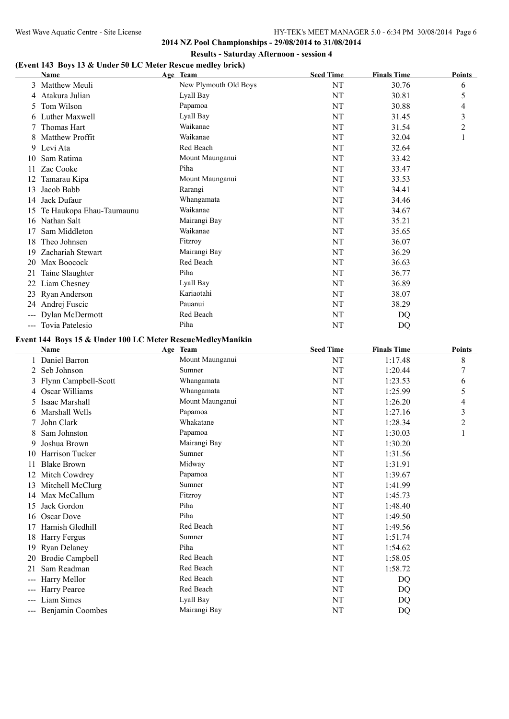**2014 NZ Pool Championships - 29/08/2014 to 31/08/2014 Results - Saturday Afternoon - session 4**

## **(Event 143 Boys 13 & Under 50 LC Meter Rescue medley brick)**

| New Plymouth Old Boys<br>NT<br>3 Matthew Meuli<br>30.76<br>6<br>Lyall Bay<br>NT<br>5<br>30.81<br>Atakura Julian<br>4<br>Tom Wilson<br>NT<br>Papamoa<br>30.88<br>4<br>5.<br>Luther Maxwell<br>Lyall Bay<br>NT<br>31.45<br>3<br>6<br>Thomas Hart<br>Waikanae<br>NT<br>31.54<br>2<br>Waikanae<br>Matthew Proffit<br>NT<br>32.04<br>1<br>Red Beach<br>NT<br>32.64<br>9 Levi Ata<br>Sam Ratima<br>Mount Maunganui<br>NT<br>33.42<br>10<br>Zac Cooke<br>Piha<br>NT<br>33.47<br>11.<br>Mount Maunganui<br>NT<br>Tamarau Kipa<br>33.53<br>12<br>Jacob Babb<br>Rarangi<br>NT<br>34.41<br>13<br>14 Jack Dufaur<br>Whangamata<br>NT<br>34.46<br>Waikanae<br>Te Haukopa Ehau-Taumaunu<br>NT<br>34.67<br>15<br>Mairangi Bay<br>16 Nathan Salt<br>35.21<br>NT<br>Waikanae<br>Sam Middleton<br>NT<br>35.65<br>17<br>Fitzroy<br>NT<br>Theo Johnsen<br>36.07<br>18<br>Mairangi Bay<br>NT<br>36.29<br>Zachariah Stewart<br>19<br>Red Beach<br>NT<br>36.63<br>20 Max Boocock<br>Piha<br>36.77<br>21 Taine Slaughter<br>NT<br>Lyall Bay<br>NT<br>36.89<br>22 Liam Chesney<br>Kariaotahi<br>23 Ryan Anderson<br>NT<br>38.07<br>24 Andrej Fuscic<br>Pauanui<br>NT<br>38.29<br>Red Beach<br>--- Dylan McDermott<br>NT<br><b>DQ</b><br>Piha<br>--- Tovia Patelesio<br>NT<br>DQ<br>Event 144 Boys 15 & Under 100 LC Meter RescueMedleyManikin<br><b>Seed Time</b><br><b>Finals Time</b><br>Name<br>Age Team<br><b>Points</b><br>1 Daniel Barron<br>8<br>Mount Maunganui<br>NT<br>1:17.48<br>Sumner<br>Seb Johnson<br>NT<br>7<br>1:20.44<br>$\overline{2}$<br>3 Flynn Campbell-Scott<br>NT<br>Whangamata<br>1:23.53<br>6<br>Oscar Williams<br>Whangamata<br>1:25.99<br>5<br>NT<br>4<br>Isaac Marshall<br>Mount Maunganui<br>NT<br>1:26.20<br>4<br>5<br>Marshall Wells<br>Papamoa<br>NT<br>1:27.16<br>3<br>6<br>Whakatane<br>John Clark<br>NT<br>1:28.34<br>2<br>7<br>Sam Johnston<br>NT<br>1:30.03<br>Papamoa<br>1<br>Joshua Brown<br>Mairangi Bay<br>NT<br>1:30.20<br>9.<br>NT<br>10 Harrison Tucker<br>Sumner<br>1:31.56<br>Midway<br>NT<br><b>Blake Brown</b><br>1:31.91<br>11<br>Papamoa<br>NT<br>1:39.67<br>12 Mitch Cowdrey<br>Sumner<br>$\rm{NT}$<br>13 Mitchell McClurg<br>1:41.99<br>Max McCallum<br>Fitzroy<br>$\rm{NT}$<br>1:45.73<br>14<br>Piha<br>Jack Gordon<br>$\rm{NT}$<br>1:48.40<br>15<br>Piha<br>16 Oscar Dove<br>NT<br>1:49.50<br>Red Beach<br>Hamish Gledhill<br>NT<br>1:49.56<br>17<br>18 Harry Fergus<br>Sumner<br>NT<br>1:51.74<br>Piha<br><b>Ryan Delaney</b><br>$\rm{NT}$<br>1:54.62<br>19<br><b>Brodie Campbell</b><br>Red Beach<br>1:58.05<br>NT<br>20<br>Sam Readman<br>Red Beach<br>1:58.72<br>NT<br>21<br>Red Beach<br>Harry Mellor<br>NT<br>DQ<br>$\qquad \qquad \cdots$<br>Red Beach<br>Harry Pearce<br>NT<br>DQ<br>$\qquad \qquad \cdots$<br>Liam Simes<br>Lyall Bay<br>NT<br>DQ<br>Mairangi Bay<br>--- Benjamin Coombes<br>NT<br><b>DQ</b> | Name | Age Team | <b>Seed Time</b> | <b>Finals Time</b> | <b>Points</b> |
|-----------------------------------------------------------------------------------------------------------------------------------------------------------------------------------------------------------------------------------------------------------------------------------------------------------------------------------------------------------------------------------------------------------------------------------------------------------------------------------------------------------------------------------------------------------------------------------------------------------------------------------------------------------------------------------------------------------------------------------------------------------------------------------------------------------------------------------------------------------------------------------------------------------------------------------------------------------------------------------------------------------------------------------------------------------------------------------------------------------------------------------------------------------------------------------------------------------------------------------------------------------------------------------------------------------------------------------------------------------------------------------------------------------------------------------------------------------------------------------------------------------------------------------------------------------------------------------------------------------------------------------------------------------------------------------------------------------------------------------------------------------------------------------------------------------------------------------------------------------------------------------------------------------------------------------------------------------------------------------------------------------------------------------------------------------------------------------------------------------------------------------------------------------------------------------------------------------------------------------------------------------------------------------------------------------------------------------------------------------------------------------------------------------------------------------------------------------------------------------------------------------------------------------------------------------------------------------------------------------------------------------------------------------------------------------------------------------------------------------------------------------------------------------------------------------------------------------------------------|------|----------|------------------|--------------------|---------------|
|                                                                                                                                                                                                                                                                                                                                                                                                                                                                                                                                                                                                                                                                                                                                                                                                                                                                                                                                                                                                                                                                                                                                                                                                                                                                                                                                                                                                                                                                                                                                                                                                                                                                                                                                                                                                                                                                                                                                                                                                                                                                                                                                                                                                                                                                                                                                                                                                                                                                                                                                                                                                                                                                                                                                                                                                                                                     |      |          |                  |                    |               |
|                                                                                                                                                                                                                                                                                                                                                                                                                                                                                                                                                                                                                                                                                                                                                                                                                                                                                                                                                                                                                                                                                                                                                                                                                                                                                                                                                                                                                                                                                                                                                                                                                                                                                                                                                                                                                                                                                                                                                                                                                                                                                                                                                                                                                                                                                                                                                                                                                                                                                                                                                                                                                                                                                                                                                                                                                                                     |      |          |                  |                    |               |
|                                                                                                                                                                                                                                                                                                                                                                                                                                                                                                                                                                                                                                                                                                                                                                                                                                                                                                                                                                                                                                                                                                                                                                                                                                                                                                                                                                                                                                                                                                                                                                                                                                                                                                                                                                                                                                                                                                                                                                                                                                                                                                                                                                                                                                                                                                                                                                                                                                                                                                                                                                                                                                                                                                                                                                                                                                                     |      |          |                  |                    |               |
|                                                                                                                                                                                                                                                                                                                                                                                                                                                                                                                                                                                                                                                                                                                                                                                                                                                                                                                                                                                                                                                                                                                                                                                                                                                                                                                                                                                                                                                                                                                                                                                                                                                                                                                                                                                                                                                                                                                                                                                                                                                                                                                                                                                                                                                                                                                                                                                                                                                                                                                                                                                                                                                                                                                                                                                                                                                     |      |          |                  |                    |               |
|                                                                                                                                                                                                                                                                                                                                                                                                                                                                                                                                                                                                                                                                                                                                                                                                                                                                                                                                                                                                                                                                                                                                                                                                                                                                                                                                                                                                                                                                                                                                                                                                                                                                                                                                                                                                                                                                                                                                                                                                                                                                                                                                                                                                                                                                                                                                                                                                                                                                                                                                                                                                                                                                                                                                                                                                                                                     |      |          |                  |                    |               |
|                                                                                                                                                                                                                                                                                                                                                                                                                                                                                                                                                                                                                                                                                                                                                                                                                                                                                                                                                                                                                                                                                                                                                                                                                                                                                                                                                                                                                                                                                                                                                                                                                                                                                                                                                                                                                                                                                                                                                                                                                                                                                                                                                                                                                                                                                                                                                                                                                                                                                                                                                                                                                                                                                                                                                                                                                                                     |      |          |                  |                    |               |
|                                                                                                                                                                                                                                                                                                                                                                                                                                                                                                                                                                                                                                                                                                                                                                                                                                                                                                                                                                                                                                                                                                                                                                                                                                                                                                                                                                                                                                                                                                                                                                                                                                                                                                                                                                                                                                                                                                                                                                                                                                                                                                                                                                                                                                                                                                                                                                                                                                                                                                                                                                                                                                                                                                                                                                                                                                                     |      |          |                  |                    |               |
|                                                                                                                                                                                                                                                                                                                                                                                                                                                                                                                                                                                                                                                                                                                                                                                                                                                                                                                                                                                                                                                                                                                                                                                                                                                                                                                                                                                                                                                                                                                                                                                                                                                                                                                                                                                                                                                                                                                                                                                                                                                                                                                                                                                                                                                                                                                                                                                                                                                                                                                                                                                                                                                                                                                                                                                                                                                     |      |          |                  |                    |               |
|                                                                                                                                                                                                                                                                                                                                                                                                                                                                                                                                                                                                                                                                                                                                                                                                                                                                                                                                                                                                                                                                                                                                                                                                                                                                                                                                                                                                                                                                                                                                                                                                                                                                                                                                                                                                                                                                                                                                                                                                                                                                                                                                                                                                                                                                                                                                                                                                                                                                                                                                                                                                                                                                                                                                                                                                                                                     |      |          |                  |                    |               |
|                                                                                                                                                                                                                                                                                                                                                                                                                                                                                                                                                                                                                                                                                                                                                                                                                                                                                                                                                                                                                                                                                                                                                                                                                                                                                                                                                                                                                                                                                                                                                                                                                                                                                                                                                                                                                                                                                                                                                                                                                                                                                                                                                                                                                                                                                                                                                                                                                                                                                                                                                                                                                                                                                                                                                                                                                                                     |      |          |                  |                    |               |
|                                                                                                                                                                                                                                                                                                                                                                                                                                                                                                                                                                                                                                                                                                                                                                                                                                                                                                                                                                                                                                                                                                                                                                                                                                                                                                                                                                                                                                                                                                                                                                                                                                                                                                                                                                                                                                                                                                                                                                                                                                                                                                                                                                                                                                                                                                                                                                                                                                                                                                                                                                                                                                                                                                                                                                                                                                                     |      |          |                  |                    |               |
|                                                                                                                                                                                                                                                                                                                                                                                                                                                                                                                                                                                                                                                                                                                                                                                                                                                                                                                                                                                                                                                                                                                                                                                                                                                                                                                                                                                                                                                                                                                                                                                                                                                                                                                                                                                                                                                                                                                                                                                                                                                                                                                                                                                                                                                                                                                                                                                                                                                                                                                                                                                                                                                                                                                                                                                                                                                     |      |          |                  |                    |               |
|                                                                                                                                                                                                                                                                                                                                                                                                                                                                                                                                                                                                                                                                                                                                                                                                                                                                                                                                                                                                                                                                                                                                                                                                                                                                                                                                                                                                                                                                                                                                                                                                                                                                                                                                                                                                                                                                                                                                                                                                                                                                                                                                                                                                                                                                                                                                                                                                                                                                                                                                                                                                                                                                                                                                                                                                                                                     |      |          |                  |                    |               |
|                                                                                                                                                                                                                                                                                                                                                                                                                                                                                                                                                                                                                                                                                                                                                                                                                                                                                                                                                                                                                                                                                                                                                                                                                                                                                                                                                                                                                                                                                                                                                                                                                                                                                                                                                                                                                                                                                                                                                                                                                                                                                                                                                                                                                                                                                                                                                                                                                                                                                                                                                                                                                                                                                                                                                                                                                                                     |      |          |                  |                    |               |
|                                                                                                                                                                                                                                                                                                                                                                                                                                                                                                                                                                                                                                                                                                                                                                                                                                                                                                                                                                                                                                                                                                                                                                                                                                                                                                                                                                                                                                                                                                                                                                                                                                                                                                                                                                                                                                                                                                                                                                                                                                                                                                                                                                                                                                                                                                                                                                                                                                                                                                                                                                                                                                                                                                                                                                                                                                                     |      |          |                  |                    |               |
|                                                                                                                                                                                                                                                                                                                                                                                                                                                                                                                                                                                                                                                                                                                                                                                                                                                                                                                                                                                                                                                                                                                                                                                                                                                                                                                                                                                                                                                                                                                                                                                                                                                                                                                                                                                                                                                                                                                                                                                                                                                                                                                                                                                                                                                                                                                                                                                                                                                                                                                                                                                                                                                                                                                                                                                                                                                     |      |          |                  |                    |               |
|                                                                                                                                                                                                                                                                                                                                                                                                                                                                                                                                                                                                                                                                                                                                                                                                                                                                                                                                                                                                                                                                                                                                                                                                                                                                                                                                                                                                                                                                                                                                                                                                                                                                                                                                                                                                                                                                                                                                                                                                                                                                                                                                                                                                                                                                                                                                                                                                                                                                                                                                                                                                                                                                                                                                                                                                                                                     |      |          |                  |                    |               |
|                                                                                                                                                                                                                                                                                                                                                                                                                                                                                                                                                                                                                                                                                                                                                                                                                                                                                                                                                                                                                                                                                                                                                                                                                                                                                                                                                                                                                                                                                                                                                                                                                                                                                                                                                                                                                                                                                                                                                                                                                                                                                                                                                                                                                                                                                                                                                                                                                                                                                                                                                                                                                                                                                                                                                                                                                                                     |      |          |                  |                    |               |
|                                                                                                                                                                                                                                                                                                                                                                                                                                                                                                                                                                                                                                                                                                                                                                                                                                                                                                                                                                                                                                                                                                                                                                                                                                                                                                                                                                                                                                                                                                                                                                                                                                                                                                                                                                                                                                                                                                                                                                                                                                                                                                                                                                                                                                                                                                                                                                                                                                                                                                                                                                                                                                                                                                                                                                                                                                                     |      |          |                  |                    |               |
|                                                                                                                                                                                                                                                                                                                                                                                                                                                                                                                                                                                                                                                                                                                                                                                                                                                                                                                                                                                                                                                                                                                                                                                                                                                                                                                                                                                                                                                                                                                                                                                                                                                                                                                                                                                                                                                                                                                                                                                                                                                                                                                                                                                                                                                                                                                                                                                                                                                                                                                                                                                                                                                                                                                                                                                                                                                     |      |          |                  |                    |               |
|                                                                                                                                                                                                                                                                                                                                                                                                                                                                                                                                                                                                                                                                                                                                                                                                                                                                                                                                                                                                                                                                                                                                                                                                                                                                                                                                                                                                                                                                                                                                                                                                                                                                                                                                                                                                                                                                                                                                                                                                                                                                                                                                                                                                                                                                                                                                                                                                                                                                                                                                                                                                                                                                                                                                                                                                                                                     |      |          |                  |                    |               |
|                                                                                                                                                                                                                                                                                                                                                                                                                                                                                                                                                                                                                                                                                                                                                                                                                                                                                                                                                                                                                                                                                                                                                                                                                                                                                                                                                                                                                                                                                                                                                                                                                                                                                                                                                                                                                                                                                                                                                                                                                                                                                                                                                                                                                                                                                                                                                                                                                                                                                                                                                                                                                                                                                                                                                                                                                                                     |      |          |                  |                    |               |
|                                                                                                                                                                                                                                                                                                                                                                                                                                                                                                                                                                                                                                                                                                                                                                                                                                                                                                                                                                                                                                                                                                                                                                                                                                                                                                                                                                                                                                                                                                                                                                                                                                                                                                                                                                                                                                                                                                                                                                                                                                                                                                                                                                                                                                                                                                                                                                                                                                                                                                                                                                                                                                                                                                                                                                                                                                                     |      |          |                  |                    |               |
|                                                                                                                                                                                                                                                                                                                                                                                                                                                                                                                                                                                                                                                                                                                                                                                                                                                                                                                                                                                                                                                                                                                                                                                                                                                                                                                                                                                                                                                                                                                                                                                                                                                                                                                                                                                                                                                                                                                                                                                                                                                                                                                                                                                                                                                                                                                                                                                                                                                                                                                                                                                                                                                                                                                                                                                                                                                     |      |          |                  |                    |               |
|                                                                                                                                                                                                                                                                                                                                                                                                                                                                                                                                                                                                                                                                                                                                                                                                                                                                                                                                                                                                                                                                                                                                                                                                                                                                                                                                                                                                                                                                                                                                                                                                                                                                                                                                                                                                                                                                                                                                                                                                                                                                                                                                                                                                                                                                                                                                                                                                                                                                                                                                                                                                                                                                                                                                                                                                                                                     |      |          |                  |                    |               |
|                                                                                                                                                                                                                                                                                                                                                                                                                                                                                                                                                                                                                                                                                                                                                                                                                                                                                                                                                                                                                                                                                                                                                                                                                                                                                                                                                                                                                                                                                                                                                                                                                                                                                                                                                                                                                                                                                                                                                                                                                                                                                                                                                                                                                                                                                                                                                                                                                                                                                                                                                                                                                                                                                                                                                                                                                                                     |      |          |                  |                    |               |
|                                                                                                                                                                                                                                                                                                                                                                                                                                                                                                                                                                                                                                                                                                                                                                                                                                                                                                                                                                                                                                                                                                                                                                                                                                                                                                                                                                                                                                                                                                                                                                                                                                                                                                                                                                                                                                                                                                                                                                                                                                                                                                                                                                                                                                                                                                                                                                                                                                                                                                                                                                                                                                                                                                                                                                                                                                                     |      |          |                  |                    |               |
|                                                                                                                                                                                                                                                                                                                                                                                                                                                                                                                                                                                                                                                                                                                                                                                                                                                                                                                                                                                                                                                                                                                                                                                                                                                                                                                                                                                                                                                                                                                                                                                                                                                                                                                                                                                                                                                                                                                                                                                                                                                                                                                                                                                                                                                                                                                                                                                                                                                                                                                                                                                                                                                                                                                                                                                                                                                     |      |          |                  |                    |               |
|                                                                                                                                                                                                                                                                                                                                                                                                                                                                                                                                                                                                                                                                                                                                                                                                                                                                                                                                                                                                                                                                                                                                                                                                                                                                                                                                                                                                                                                                                                                                                                                                                                                                                                                                                                                                                                                                                                                                                                                                                                                                                                                                                                                                                                                                                                                                                                                                                                                                                                                                                                                                                                                                                                                                                                                                                                                     |      |          |                  |                    |               |
|                                                                                                                                                                                                                                                                                                                                                                                                                                                                                                                                                                                                                                                                                                                                                                                                                                                                                                                                                                                                                                                                                                                                                                                                                                                                                                                                                                                                                                                                                                                                                                                                                                                                                                                                                                                                                                                                                                                                                                                                                                                                                                                                                                                                                                                                                                                                                                                                                                                                                                                                                                                                                                                                                                                                                                                                                                                     |      |          |                  |                    |               |
|                                                                                                                                                                                                                                                                                                                                                                                                                                                                                                                                                                                                                                                                                                                                                                                                                                                                                                                                                                                                                                                                                                                                                                                                                                                                                                                                                                                                                                                                                                                                                                                                                                                                                                                                                                                                                                                                                                                                                                                                                                                                                                                                                                                                                                                                                                                                                                                                                                                                                                                                                                                                                                                                                                                                                                                                                                                     |      |          |                  |                    |               |
|                                                                                                                                                                                                                                                                                                                                                                                                                                                                                                                                                                                                                                                                                                                                                                                                                                                                                                                                                                                                                                                                                                                                                                                                                                                                                                                                                                                                                                                                                                                                                                                                                                                                                                                                                                                                                                                                                                                                                                                                                                                                                                                                                                                                                                                                                                                                                                                                                                                                                                                                                                                                                                                                                                                                                                                                                                                     |      |          |                  |                    |               |
|                                                                                                                                                                                                                                                                                                                                                                                                                                                                                                                                                                                                                                                                                                                                                                                                                                                                                                                                                                                                                                                                                                                                                                                                                                                                                                                                                                                                                                                                                                                                                                                                                                                                                                                                                                                                                                                                                                                                                                                                                                                                                                                                                                                                                                                                                                                                                                                                                                                                                                                                                                                                                                                                                                                                                                                                                                                     |      |          |                  |                    |               |
|                                                                                                                                                                                                                                                                                                                                                                                                                                                                                                                                                                                                                                                                                                                                                                                                                                                                                                                                                                                                                                                                                                                                                                                                                                                                                                                                                                                                                                                                                                                                                                                                                                                                                                                                                                                                                                                                                                                                                                                                                                                                                                                                                                                                                                                                                                                                                                                                                                                                                                                                                                                                                                                                                                                                                                                                                                                     |      |          |                  |                    |               |
|                                                                                                                                                                                                                                                                                                                                                                                                                                                                                                                                                                                                                                                                                                                                                                                                                                                                                                                                                                                                                                                                                                                                                                                                                                                                                                                                                                                                                                                                                                                                                                                                                                                                                                                                                                                                                                                                                                                                                                                                                                                                                                                                                                                                                                                                                                                                                                                                                                                                                                                                                                                                                                                                                                                                                                                                                                                     |      |          |                  |                    |               |
|                                                                                                                                                                                                                                                                                                                                                                                                                                                                                                                                                                                                                                                                                                                                                                                                                                                                                                                                                                                                                                                                                                                                                                                                                                                                                                                                                                                                                                                                                                                                                                                                                                                                                                                                                                                                                                                                                                                                                                                                                                                                                                                                                                                                                                                                                                                                                                                                                                                                                                                                                                                                                                                                                                                                                                                                                                                     |      |          |                  |                    |               |
|                                                                                                                                                                                                                                                                                                                                                                                                                                                                                                                                                                                                                                                                                                                                                                                                                                                                                                                                                                                                                                                                                                                                                                                                                                                                                                                                                                                                                                                                                                                                                                                                                                                                                                                                                                                                                                                                                                                                                                                                                                                                                                                                                                                                                                                                                                                                                                                                                                                                                                                                                                                                                                                                                                                                                                                                                                                     |      |          |                  |                    |               |
|                                                                                                                                                                                                                                                                                                                                                                                                                                                                                                                                                                                                                                                                                                                                                                                                                                                                                                                                                                                                                                                                                                                                                                                                                                                                                                                                                                                                                                                                                                                                                                                                                                                                                                                                                                                                                                                                                                                                                                                                                                                                                                                                                                                                                                                                                                                                                                                                                                                                                                                                                                                                                                                                                                                                                                                                                                                     |      |          |                  |                    |               |
|                                                                                                                                                                                                                                                                                                                                                                                                                                                                                                                                                                                                                                                                                                                                                                                                                                                                                                                                                                                                                                                                                                                                                                                                                                                                                                                                                                                                                                                                                                                                                                                                                                                                                                                                                                                                                                                                                                                                                                                                                                                                                                                                                                                                                                                                                                                                                                                                                                                                                                                                                                                                                                                                                                                                                                                                                                                     |      |          |                  |                    |               |
|                                                                                                                                                                                                                                                                                                                                                                                                                                                                                                                                                                                                                                                                                                                                                                                                                                                                                                                                                                                                                                                                                                                                                                                                                                                                                                                                                                                                                                                                                                                                                                                                                                                                                                                                                                                                                                                                                                                                                                                                                                                                                                                                                                                                                                                                                                                                                                                                                                                                                                                                                                                                                                                                                                                                                                                                                                                     |      |          |                  |                    |               |
|                                                                                                                                                                                                                                                                                                                                                                                                                                                                                                                                                                                                                                                                                                                                                                                                                                                                                                                                                                                                                                                                                                                                                                                                                                                                                                                                                                                                                                                                                                                                                                                                                                                                                                                                                                                                                                                                                                                                                                                                                                                                                                                                                                                                                                                                                                                                                                                                                                                                                                                                                                                                                                                                                                                                                                                                                                                     |      |          |                  |                    |               |
|                                                                                                                                                                                                                                                                                                                                                                                                                                                                                                                                                                                                                                                                                                                                                                                                                                                                                                                                                                                                                                                                                                                                                                                                                                                                                                                                                                                                                                                                                                                                                                                                                                                                                                                                                                                                                                                                                                                                                                                                                                                                                                                                                                                                                                                                                                                                                                                                                                                                                                                                                                                                                                                                                                                                                                                                                                                     |      |          |                  |                    |               |
|                                                                                                                                                                                                                                                                                                                                                                                                                                                                                                                                                                                                                                                                                                                                                                                                                                                                                                                                                                                                                                                                                                                                                                                                                                                                                                                                                                                                                                                                                                                                                                                                                                                                                                                                                                                                                                                                                                                                                                                                                                                                                                                                                                                                                                                                                                                                                                                                                                                                                                                                                                                                                                                                                                                                                                                                                                                     |      |          |                  |                    |               |
|                                                                                                                                                                                                                                                                                                                                                                                                                                                                                                                                                                                                                                                                                                                                                                                                                                                                                                                                                                                                                                                                                                                                                                                                                                                                                                                                                                                                                                                                                                                                                                                                                                                                                                                                                                                                                                                                                                                                                                                                                                                                                                                                                                                                                                                                                                                                                                                                                                                                                                                                                                                                                                                                                                                                                                                                                                                     |      |          |                  |                    |               |
|                                                                                                                                                                                                                                                                                                                                                                                                                                                                                                                                                                                                                                                                                                                                                                                                                                                                                                                                                                                                                                                                                                                                                                                                                                                                                                                                                                                                                                                                                                                                                                                                                                                                                                                                                                                                                                                                                                                                                                                                                                                                                                                                                                                                                                                                                                                                                                                                                                                                                                                                                                                                                                                                                                                                                                                                                                                     |      |          |                  |                    |               |
|                                                                                                                                                                                                                                                                                                                                                                                                                                                                                                                                                                                                                                                                                                                                                                                                                                                                                                                                                                                                                                                                                                                                                                                                                                                                                                                                                                                                                                                                                                                                                                                                                                                                                                                                                                                                                                                                                                                                                                                                                                                                                                                                                                                                                                                                                                                                                                                                                                                                                                                                                                                                                                                                                                                                                                                                                                                     |      |          |                  |                    |               |
|                                                                                                                                                                                                                                                                                                                                                                                                                                                                                                                                                                                                                                                                                                                                                                                                                                                                                                                                                                                                                                                                                                                                                                                                                                                                                                                                                                                                                                                                                                                                                                                                                                                                                                                                                                                                                                                                                                                                                                                                                                                                                                                                                                                                                                                                                                                                                                                                                                                                                                                                                                                                                                                                                                                                                                                                                                                     |      |          |                  |                    |               |
|                                                                                                                                                                                                                                                                                                                                                                                                                                                                                                                                                                                                                                                                                                                                                                                                                                                                                                                                                                                                                                                                                                                                                                                                                                                                                                                                                                                                                                                                                                                                                                                                                                                                                                                                                                                                                                                                                                                                                                                                                                                                                                                                                                                                                                                                                                                                                                                                                                                                                                                                                                                                                                                                                                                                                                                                                                                     |      |          |                  |                    |               |
|                                                                                                                                                                                                                                                                                                                                                                                                                                                                                                                                                                                                                                                                                                                                                                                                                                                                                                                                                                                                                                                                                                                                                                                                                                                                                                                                                                                                                                                                                                                                                                                                                                                                                                                                                                                                                                                                                                                                                                                                                                                                                                                                                                                                                                                                                                                                                                                                                                                                                                                                                                                                                                                                                                                                                                                                                                                     |      |          |                  |                    |               |
|                                                                                                                                                                                                                                                                                                                                                                                                                                                                                                                                                                                                                                                                                                                                                                                                                                                                                                                                                                                                                                                                                                                                                                                                                                                                                                                                                                                                                                                                                                                                                                                                                                                                                                                                                                                                                                                                                                                                                                                                                                                                                                                                                                                                                                                                                                                                                                                                                                                                                                                                                                                                                                                                                                                                                                                                                                                     |      |          |                  |                    |               |
|                                                                                                                                                                                                                                                                                                                                                                                                                                                                                                                                                                                                                                                                                                                                                                                                                                                                                                                                                                                                                                                                                                                                                                                                                                                                                                                                                                                                                                                                                                                                                                                                                                                                                                                                                                                                                                                                                                                                                                                                                                                                                                                                                                                                                                                                                                                                                                                                                                                                                                                                                                                                                                                                                                                                                                                                                                                     |      |          |                  |                    |               |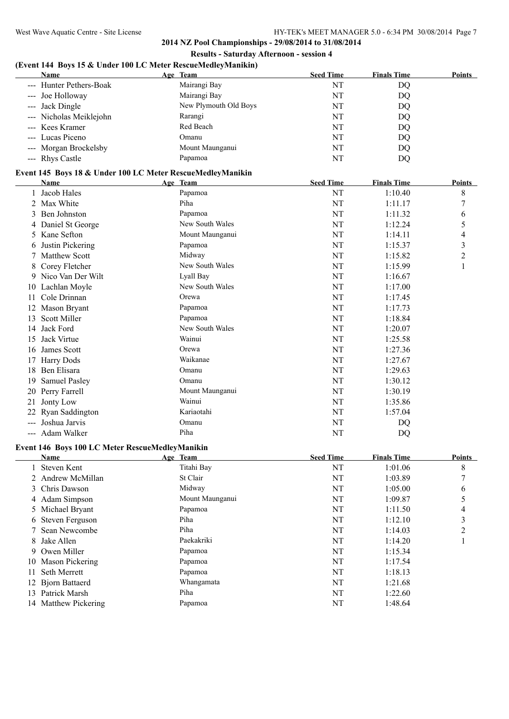$\overline{a}$ 

**2014 NZ Pool Championships - 29/08/2014 to 31/08/2014 Results - Saturday Afternoon - session 4**

# **(Event 144 Boys 15 & Under 100 LC Meter RescueMedleyManikin)**

| <b>Name</b>             | Age Team              | <b>Seed Time</b> | <b>Finals Time</b> | <b>Points</b> |
|-------------------------|-----------------------|------------------|--------------------|---------------|
| --- Hunter Pethers-Boak | Mairangi Bay          | NT               | DQ                 |               |
| --- Joe Holloway        | Mairangi Bay          | NT               | DO                 |               |
| --- Jack Dingle         | New Plymouth Old Boys | NT               | DQ                 |               |
| --- Nicholas Meiklejohn | Rarangi               | NT               | DQ                 |               |
| --- Kees Kramer         | Red Beach             | NT               | DQ                 |               |
| --- Lucas Piceno        | Omanu                 | NT               | DQ                 |               |
| --- Morgan Brockelsby   | Mount Maunganui       | NT               | DQ                 |               |
| --- Rhys Castle         | Papamoa               | NT               | DQ                 |               |

## **Event 145 Boys 18 & Under 100 LC Meter RescueMedleyManikin**

|       | Name                                                                                    | Age Team        | <b>Seed Time</b> | <b>Finals Time</b> | Points         |  |  |
|-------|-----------------------------------------------------------------------------------------|-----------------|------------------|--------------------|----------------|--|--|
|       | Jacob Hales                                                                             | Papamoa         | NT               | 1:10.40            | 8              |  |  |
|       | Max White                                                                               | Piha            | NT               | 1:11.17            |                |  |  |
| 3     | Ben Johnston                                                                            | Papamoa         | NT               | 1:11.32            | 6              |  |  |
|       | Daniel St George                                                                        | New South Wales | NT               | 1:12.24            | 5              |  |  |
| 5.    | Kane Sefton                                                                             | Mount Maunganui | <b>NT</b>        | 1:14.11            | 4              |  |  |
| 6     | Justin Pickering                                                                        | Papamoa         | <b>NT</b>        | 1:15.37            | 3              |  |  |
|       | <b>Matthew Scott</b>                                                                    | Midway          | NT               | 1:15.82            | $\overline{2}$ |  |  |
| 8     | Corey Fletcher                                                                          | New South Wales | NT               | 1:15.99            | 1              |  |  |
|       | 9 Nico Van Der Wilt                                                                     | Lyall Bay       | NT               | 1:16.67            |                |  |  |
|       | 10 Lachlan Moyle                                                                        | New South Wales | <b>NT</b>        | 1:17.00            |                |  |  |
| 11    | Cole Drinnan                                                                            | Orewa           | NT               | 1:17.45            |                |  |  |
|       | Mason Bryant                                                                            | Papamoa         | NT               | 1:17.73            |                |  |  |
| 13    | Scott Miller                                                                            | Papamoa         | NT               | 1:18.84            |                |  |  |
| 14    | Jack Ford                                                                               | New South Wales | NT               | 1:20.07            |                |  |  |
| 15    | Jack Virtue                                                                             | Wainui          | NT               | 1:25.58            |                |  |  |
| 16    | James Scott                                                                             | Orewa           | NT               | 1:27.36            |                |  |  |
|       | <b>Harry Dods</b>                                                                       | Waikanae        | <b>NT</b>        | 1:27.67            |                |  |  |
| 18    | Ben Elisara                                                                             | Omanu           | NT               | 1:29.63            |                |  |  |
| 19    | <b>Samuel Pasley</b>                                                                    | Omanu           | NT               | 1:30.12            |                |  |  |
|       | 20 Perry Farrell                                                                        | Mount Maunganui | NT               | 1:30.19            |                |  |  |
| 21    | Jonty Low                                                                               | Wainui          | <b>NT</b>        | 1:35.86            |                |  |  |
|       | Ryan Saddington                                                                         | Kariaotahi      | NT               | 1:57.04            |                |  |  |
| $---$ | Joshua Jarvis                                                                           | Omanu           | NT               | DQ                 |                |  |  |
|       | Adam Walker                                                                             | Piha            | NT               | DQ                 |                |  |  |
|       | $\sim$ 447 $\,$ D $\sim$ 400 I $\alpha$ M $\sim$ D $\sim$ M $\,$ H $\,$ M $\sim$ H $\,$ |                 |                  |                    |                |  |  |

#### **Event 146 Boys 100 LC Meter RescueMedleyManikin**

|                | Name                 | Age Team        | <b>Seed Time</b> | <b>Finals Time</b> | <b>Points</b> |
|----------------|----------------------|-----------------|------------------|--------------------|---------------|
|                | Steven Kent          | Titahi Bay      | NT               | 1:01.06            | 8             |
| $\overline{2}$ | Andrew McMillan      | St Clair        | NT               | 1:03.89            | 7             |
|                | 3 Chris Dawson       | Midway          | NT               | 1:05.00            | 6             |
|                | 4 Adam Simpson       | Mount Maunganui | NT               | 1:09.87            |               |
|                | 5 Michael Bryant     | Papamoa         | NT               | 1:11.50            | 4             |
|                | 6 Steven Ferguson    | Piha            | NT               | 1:12.10            | 3             |
|                | Sean Newcombe        | Piha            | NT               | 1:14.03            | 2             |
| 8              | Jake Allen           | Paekakriki      | NT               | 1:14.20            |               |
| 9.             | Owen Miller          | Papamoa         | NT               | 1:15.34            |               |
| 10             | Mason Pickering      | Papamoa         | NT               | 1:17.54            |               |
| 11.            | Seth Merrett         | Papamoa         | NT               | 1:18.13            |               |
|                | 12 Bjorn Battaerd    | Whangamata      | NT               | 1:21.68            |               |
| 13.            | Patrick Marsh        | Piha            | NT               | 1:22.60            |               |
|                | 14 Matthew Pickering | Papamoa         | NT               | 1:48.64            |               |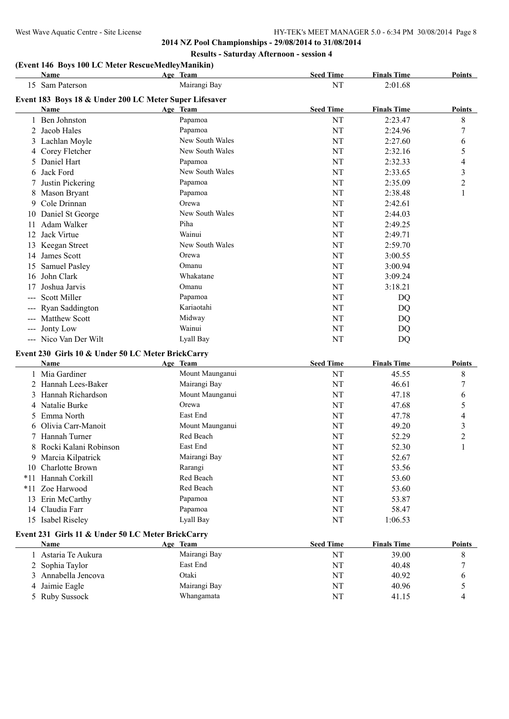**2014 NZ Pool Championships - 29/08/2014 to 31/08/2014 Results - Saturday Afternoon - session 4**

# **(Event 146 Boys 100 LC Meter RescueMedleyManikin)**

|                     | Name                                                   | Age Team        | <b>Seed Time</b> | <b>Finals Time</b> | Points           |
|---------------------|--------------------------------------------------------|-----------------|------------------|--------------------|------------------|
|                     | 15 Sam Paterson                                        | Mairangi Bay    | <b>NT</b>        | 2:01.68            |                  |
|                     | Event 183 Boys 18 & Under 200 LC Meter Super Lifesaver |                 |                  |                    |                  |
|                     | Name                                                   | Age Team        | <b>Seed Time</b> | <b>Finals Time</b> | <b>Points</b>    |
|                     | 1 Ben Johnston                                         | Papamoa         | NT               | 2:23.47            | 8                |
|                     | 2 Jacob Hales                                          | Papamoa         | NT               | 2:24.96            | 7                |
|                     | 3 Lachlan Moyle                                        | New South Wales | NT               | 2:27.60            | 6                |
|                     | 4 Corey Fletcher                                       | New South Wales | NT               | 2:32.16            | 5                |
|                     | 5 Daniel Hart                                          | Papamoa         | NT               | 2:32.33            | 4                |
|                     | 6 Jack Ford                                            | New South Wales | NT               | 2:33.65            | 3                |
|                     | 7 Justin Pickering                                     | Papamoa         | NT               | 2:35.09            | $\overline{c}$   |
|                     | 8 Mason Bryant                                         | Papamoa         | NT               | 2:38.48            | $\mathbf{1}$     |
|                     | 9 Cole Drinnan                                         | Orewa           | NT               | 2:42.61            |                  |
|                     | 10 Daniel St George                                    | New South Wales | NT               | 2:44.03            |                  |
| 11.                 | Adam Walker                                            | Piha            | NT               | 2:49.25            |                  |
|                     | 12 Jack Virtue                                         | Wainui          | NT               | 2:49.71            |                  |
|                     | 13 Keegan Street                                       | New South Wales | NT               | 2:59.70            |                  |
|                     | 14 James Scott                                         | Orewa           | NT               | 3:00.55            |                  |
|                     | 15 Samuel Pasley                                       | Omanu           | NT               | 3:00.94            |                  |
|                     | 16 John Clark                                          | Whakatane       | NT               | 3:09.24            |                  |
| 17                  | Joshua Jarvis                                          | Omanu           | NT               | 3:18.21            |                  |
| $ -$                | <b>Scott Miller</b>                                    | Papamoa         | NT               | DQ                 |                  |
| $---$               | Ryan Saddington                                        | Kariaotahi      | NT               | <b>DQ</b>          |                  |
|                     | --- Matthew Scott                                      | Midway          | NT               | DQ                 |                  |
| $\qquad \qquad - -$ | Jonty Low                                              | Wainui          | NT               | <b>DQ</b>          |                  |
|                     | --- Nico Van Der Wilt                                  | Lyall Bay       | NT               | <b>DQ</b>          |                  |
|                     |                                                        |                 |                  |                    |                  |
|                     | Event 230 Girls 10 & Under 50 LC Meter BrickCarry      |                 |                  |                    |                  |
|                     | <b>Name</b>                                            | Age Team        | <b>Seed Time</b> | <b>Finals Time</b> | Points           |
|                     | 1 Mia Gardiner                                         | Mount Maunganui | NT               | 45.55              | 8                |
|                     | 2 Hannah Lees-Baker                                    | Mairangi Bay    | NT               | 46.61              | $\boldsymbol{7}$ |
|                     | 3 Hannah Richardson                                    | Mount Maunganui | NT               | 47.18              | 6                |
|                     | 4 Natalie Burke                                        | Orewa           | NT               | 47.68              | 5                |
|                     | 5 Emma North                                           | East End        | NT               | 47.78              | 4                |
|                     | 6 Olivia Carr-Manoit                                   | Mount Maunganui | NT               | 49.20              | 3                |
|                     | 7 Hannah Turner                                        | Red Beach       | NT               | 52.29              | $\overline{c}$   |
|                     | 8 Rocki Kalani Robinson                                | East End        | <b>NT</b>        | 52.30              | 1                |
|                     | 9 Marcia Kilpatrick                                    | Mairangi Bay    | NT               | 52.67              |                  |
|                     | 10 Charlotte Brown                                     | Rarangi         | NT               | 53.56              |                  |
|                     | *11 Hannah Corkill                                     | Red Beach       | NT               | 53.60              |                  |
|                     | *11 Zoe Harwood                                        | Red Beach       | NT               | 53.60              |                  |
|                     | 13 Erin McCarthy                                       | Papamoa         | <b>NT</b>        | 53.87              |                  |

#### **Event 231 Girls 11 & Under 50 LC Meter BrickCarry**

| Name                | <b>Team</b><br>Age | <b>Seed Time</b> | <b>Finals Time</b> | <b>Points</b> |
|---------------------|--------------------|------------------|--------------------|---------------|
| Astaria Te Aukura   | Mairangi Bay       | NT               | 39.00              |               |
| 2 Sophia Taylor     | East End           | NT               | 40.48              |               |
| 3 Annabella Jencova | Otaki              | <b>NT</b>        | 40.92              |               |
| 4 Jaimie Eagle      | Mairangi Bay       | <b>NT</b>        | 40.96              |               |
| 5 Ruby Sussock      | Whangamata         | <b>NT</b>        | 41.15              | 4             |

14 Claudia Farr Papamoa Papamoa NT 58.47 15 Isabel Riseley Lyall Bay Lyall Bay NT 1:06.53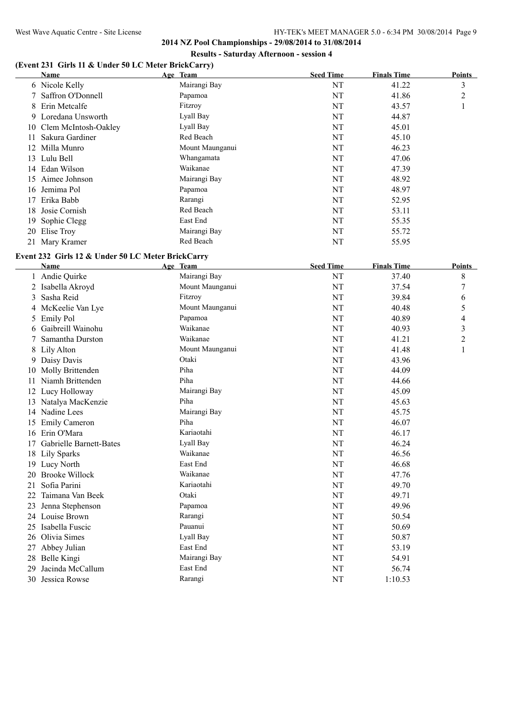**2014 NZ Pool Championships - 29/08/2014 to 31/08/2014 Results - Saturday Afternoon - session 4**

## **(Event 231 Girls 11 & Under 50 LC Meter BrickCarry)**

|     | Name                    | Age Team        | <b>Seed Time</b> | <b>Finals Time</b> | <b>Points</b>  |
|-----|-------------------------|-----------------|------------------|--------------------|----------------|
|     | 6 Nicole Kelly          | Mairangi Bay    | NT               | 41.22              | 3              |
|     | 7 Saffron O'Donnell     | Papamoa         | NT               | 41.86              | $\overline{2}$ |
|     | 8 Erin Metcalfe         | Fitzroy         | NT               | 43.57              |                |
|     | 9 Loredana Unsworth     | Lyall Bay       | NT               | 44.87              |                |
|     | 10 Clem McIntosh-Oakley | Lyall Bay       | NT               | 45.01              |                |
| 11  | Sakura Gardiner         | Red Beach       | NT               | 45.10              |                |
|     | 12 Milla Munro          | Mount Maunganui | NT               | 46.23              |                |
|     | 13 Lulu Bell            | Whangamata      | NT               | 47.06              |                |
| 14  | Edan Wilson             | Waikanae        | NT               | 47.39              |                |
| 15  | Aimee Johnson           | Mairangi Bay    | NT               | 48.92              |                |
| 16. | Jemima Pol              | Papamoa         | NT               | 48.97              |                |
| 17  | Erika Babb              | Rarangi         | NT               | 52.95              |                |
| 18  | Josie Cornish           | Red Beach       | NT               | 53.11              |                |
| 19  | Sophie Clegg            | East End        | NT               | 55.35              |                |
| 20  | Elise Troy              | Mairangi Bay    | NT               | 55.72              |                |
|     | 21 Mary Kramer          | Red Beach       | NT               | 55.95              |                |

# **Event 232 Girls 12 & Under 50 LC Meter BrickCarry**

|    | <b>Name</b>             | Age Team        | <b>Seed Time</b> | <b>Finals Time</b> | <b>Points</b>  |
|----|-------------------------|-----------------|------------------|--------------------|----------------|
|    | 1 Andie Quirke          | Mairangi Bay    | NT               | 37.40              | 8              |
|    | 2 Isabella Akroyd       | Mount Maunganui | NT               | 37.54              | 7              |
| 3  | Sasha Reid              | Fitzroy         | NT               | 39.84              | 6              |
|    | McKeelie Van Lye        | Mount Maunganui | NT               | 40.48              | 5              |
| 5  | <b>Emily Pol</b>        | Papamoa         | NT               | 40.89              | 4              |
| 6  | Gaibreill Wainohu       | Waikanae        | NT               | 40.93              | 3              |
|    | Samantha Durston        | Waikanae        | NT               | 41.21              | $\overline{c}$ |
| 8  | Lily Alton              | Mount Maunganui | NT               | 41.48              | 1              |
|    | Daisy Davis             | Otaki           | NT               | 43.96              |                |
| 10 | Molly Brittenden        | Piha            | NT               | 44.09              |                |
|    | Niamh Brittenden        | Piha            | NT               | 44.66              |                |
| 12 | Lucy Holloway           | Mairangi Bay    | NT               | 45.09              |                |
|    | Natalya MacKenzie       | Piha            | NT               | 45.63              |                |
| 14 | Nadine Lees             | Mairangi Bay    | NT               | 45.75              |                |
| 15 | <b>Emily Cameron</b>    | Piha            | NT               | 46.07              |                |
| 16 | Erin O'Mara             | Kariaotahi      | NT               | 46.17              |                |
|    | Gabrielle Barnett-Bates | Lyall Bay       | NT               | 46.24              |                |
| 18 | Lily Sparks             | Waikanae        | NT               | 46.56              |                |
| 19 | Lucy North              | East End        | NT               | 46.68              |                |
| 20 | <b>Brooke Willock</b>   | Waikanae        | NT               | 47.76              |                |
| 21 | Sofia Parini            | Kariaotahi      | NT               | 49.70              |                |
| 22 | Taimana Van Beek        | Otaki           | NT               | 49.71              |                |
| 23 | Jenna Stephenson        | Papamoa         | NT               | 49.96              |                |
|    | 24 Louise Brown         | Rarangi         | NT               | 50.54              |                |
| 25 | Isabella Fuscic         | Pauanui         | NT               | 50.69              |                |
| 26 | Olivia Simes            | Lyall Bay       | NT               | 50.87              |                |
| 27 | Abbey Julian            | East End        | NT               | 53.19              |                |
| 28 | Belle Kingi             | Mairangi Bay    | NT               | 54.91              |                |
| 29 | Jacinda McCallum        | East End        | NT               | 56.74              |                |
| 30 | Jessica Rowse           | Rarangi         | NT               | 1:10.53            |                |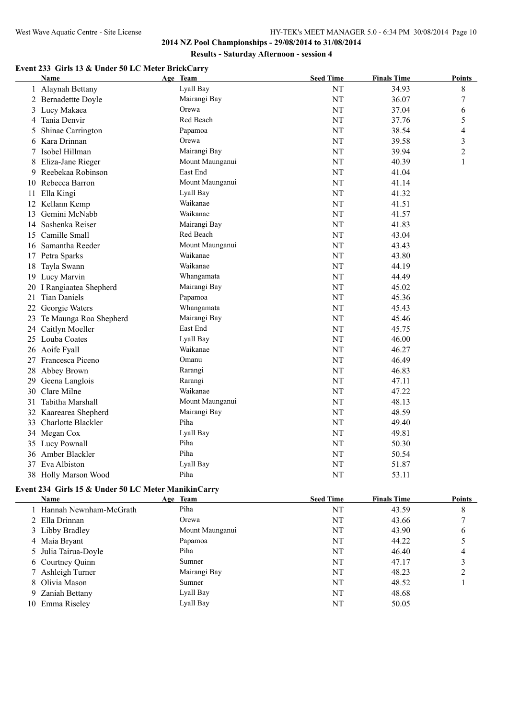## **2014 NZ Pool Championships - 29/08/2014 to 31/08/2014 Results - Saturday Afternoon - session 4**

## **Event 233 Girls 13 & Under 50 LC Meter BrickCarry**

|    | <b>Name</b>            | Age Team        | <b>Seed Time</b> | <b>Finals Time</b> | <b>Points</b>    |
|----|------------------------|-----------------|------------------|--------------------|------------------|
|    | 1 Alaynah Bettany      | Lyall Bay       | NT               | 34.93              | 8                |
|    | 2 Bernadettte Doyle    | Mairangi Bay    | NT               | 36.07              | $\boldsymbol{7}$ |
|    | 3 Lucy Makaea          | Orewa           | NT               | 37.04              | 6                |
| 4  | Tania Denvir           | Red Beach       | NT               | 37.76              | 5                |
| 5  | Shinae Carrington      | Papamoa         | NT               | 38.54              | 4                |
| 6  | Kara Drinnan           | Orewa           | NT               | 39.58              | 3                |
|    | 7 Isobel Hillman       | Mairangi Bay    | NT               | 39.94              | $\overline{2}$   |
| 8  | Eliza-Jane Rieger      | Mount Maunganui | NT               | 40.39              | 1                |
| 9  | Reebekaa Robinson      | East End        | NT               | 41.04              |                  |
|    | 10 Rebecca Barron      | Mount Maunganui | NT               | 41.14              |                  |
| 11 | Ella Kingi             | Lyall Bay       | NT               | 41.32              |                  |
|    | 12 Kellann Kemp        | Waikanae        | NT               | 41.51              |                  |
|    | 13 Gemini McNabb       | Waikanae        | NT               | 41.57              |                  |
|    | 14 Sashenka Reiser     | Mairangi Bay    | NT               | 41.83              |                  |
|    | 15 Camille Small       | Red Beach       | NT               | 43.04              |                  |
|    | 16 Samantha Reeder     | Mount Maunganui | NT               | 43.43              |                  |
|    | 17 Petra Sparks        | Waikanae        | NT               | 43.80              |                  |
| 18 | Tayla Swann            | Waikanae        | NT               | 44.19              |                  |
|    | 19 Lucy Marvin         | Whangamata      | NT               | 44.49              |                  |
| 20 | I Rangiaatea Shepherd  | Mairangi Bay    | <b>NT</b>        | 45.02              |                  |
| 21 | <b>Tian Daniels</b>    | Papamoa         | NT               | 45.36              |                  |
| 22 | Georgie Waters         | Whangamata      | NT               | 45.43              |                  |
| 23 | Te Maunga Roa Shepherd | Mairangi Bay    | <b>NT</b>        | 45.46              |                  |
| 24 | Caitlyn Moeller        | East End        | NT               | 45.75              |                  |
|    | 25 Louba Coates        | Lyall Bay       | NT               | 46.00              |                  |
|    | 26 Aoife Fyall         | Waikanae        | NT               | 46.27              |                  |
|    | 27 Francesca Piceno    | Omanu           | NT               | 46.49              |                  |
|    | 28 Abbey Brown         | Rarangi         | NT               | 46.83              |                  |
|    | 29 Geena Langlois      | Rarangi         | NT               | 47.11              |                  |
| 30 | Clare Milne            | Waikanae        | <b>NT</b>        | 47.22              |                  |
| 31 | Tabitha Marshall       | Mount Maunganui | <b>NT</b>        | 48.13              |                  |
|    | 32 Kaarearea Shepherd  | Mairangi Bay    | NT               | 48.59              |                  |
|    | 33 Charlotte Blackler  | Piha            | <b>NT</b>        | 49.40              |                  |
|    | 34 Megan Cox           | Lyall Bay       | NT               | 49.81              |                  |
|    | 35 Lucy Pownall        | Piha            | NT               | 50.30              |                  |
|    | 36 Amber Blackler      | Piha            | NT               | 50.54              |                  |
|    | 37 Eva Albiston        | Lyall Bay       | NT               | 51.87              |                  |
|    | 38 Holly Marson Wood   | Piha            | NT               | 53.11              |                  |

## **Event 234 Girls 15 & Under 50 LC Meter ManikinCarry**

| Name         |                                                                                                                                                                                       | <b>Seed Time</b>                                                                                                              | <b>Finals Time</b> | <b>Points</b> |
|--------------|---------------------------------------------------------------------------------------------------------------------------------------------------------------------------------------|-------------------------------------------------------------------------------------------------------------------------------|--------------------|---------------|
|              |                                                                                                                                                                                       | NT                                                                                                                            | 43.59              | 8             |
|              |                                                                                                                                                                                       | NT                                                                                                                            | 43.66              |               |
|              |                                                                                                                                                                                       | NT                                                                                                                            | 43.90              | b             |
|              |                                                                                                                                                                                       | NT                                                                                                                            | 44.22              |               |
|              |                                                                                                                                                                                       | NT                                                                                                                            | 46.40              | 4             |
|              |                                                                                                                                                                                       | NT                                                                                                                            | 47.17              |               |
|              |                                                                                                                                                                                       | NT                                                                                                                            | 48.23              |               |
|              |                                                                                                                                                                                       | NT                                                                                                                            | 48.52              |               |
|              |                                                                                                                                                                                       | NT                                                                                                                            | 48.68              |               |
| Emma Riseley |                                                                                                                                                                                       | NT                                                                                                                            | 50.05              |               |
|              | 1 Hannah Newnham-McGrath<br>2 Ella Drinnan<br>3 Libby Bradley<br>4 Maia Bryant<br>5 Julia Tairua-Doyle<br>6 Courtney Quinn<br>7 Ashleigh Turner<br>8 Olivia Mason<br>9 Zaniah Bettany | Age Team<br>Piha<br>Orewa<br>Mount Maunganui<br>Papamoa<br>Piha<br>Sumner<br>Mairangi Bay<br>Sumner<br>Lyall Bay<br>Lyall Bay |                    |               |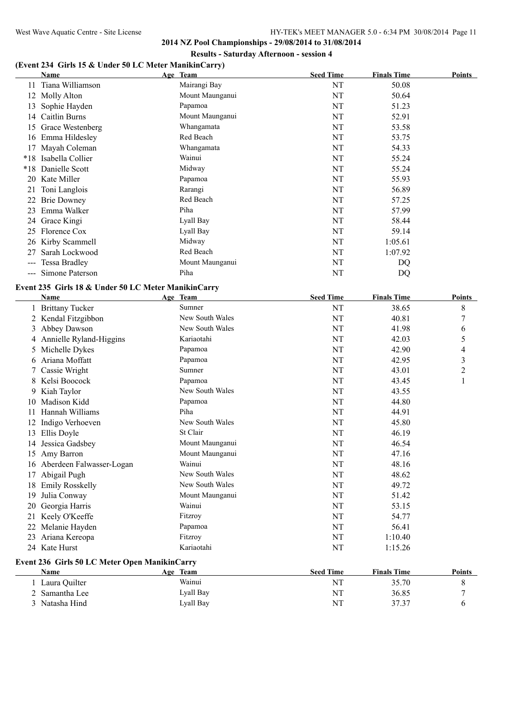# **(Event 234 Girls 15 & Under 50 LC Meter ManikinCarry)**

|                     | Name                | Age Team        | <b>Seed Time</b> | <b>Finals Time</b> | Points |
|---------------------|---------------------|-----------------|------------------|--------------------|--------|
| 11                  | Tiana Williamson    | Mairangi Bay    | NT               | 50.08              |        |
| 12                  | Molly Alton         | Mount Maunganui | NT               | 50.64              |        |
| 13                  | Sophie Hayden       | Papamoa         | NT               | 51.23              |        |
|                     | 14 Caitlin Burns    | Mount Maunganui | NT               | 52.91              |        |
| 15                  | Grace Westenberg    | Whangamata      | NT               | 53.58              |        |
| 16                  | Emma Hildesley      | Red Beach       | NT               | 53.75              |        |
| 17                  | Mayah Coleman       | Whangamata      | NT               | 54.33              |        |
| $*18$               | Isabella Collier    | Wainui          | NT               | 55.24              |        |
| $*18$               | Danielle Scott      | Midway          | NT               | 55.24              |        |
| 20                  | Kate Miller         | Papamoa         | NT               | 55.93              |        |
| 21                  | Toni Langlois       | Rarangi         | NT               | 56.89              |        |
| 22                  | <b>Brie Downey</b>  | Red Beach       | NT               | 57.25              |        |
| 23                  | Emma Walker         | Piha            | NT               | 57.99              |        |
|                     | 24 Grace Kingi      | Lyall Bay       | NT               | 58.44              |        |
| 25                  | Florence Cox        | Lyall Bay       | NT               | 59.14              |        |
|                     | 26 Kirby Scammell   | Midway          | NT               | 1:05.61            |        |
| 27                  | Sarah Lockwood      | Red Beach       | NT               | 1:07.92            |        |
| $\qquad \qquad - -$ | Tessa Bradley       | Mount Maunganui | NT               | DQ                 |        |
|                     | --- Simone Paterson | Piha            | NT               | DQ                 |        |

## **Event 235 Girls 18 & Under 50 LC Meter ManikinCarry**

|    | <b>Name</b>                                   |  | Age Team        | <b>Seed Time</b> | <b>Finals Time</b> | <b>Points</b>  |  |  |
|----|-----------------------------------------------|--|-----------------|------------------|--------------------|----------------|--|--|
| 1  | <b>Brittany Tucker</b>                        |  | Sumner          | NT               | 38.65              | 8              |  |  |
|    | Kendal Fitzgibbon                             |  | New South Wales | NT               | 40.81              | 7              |  |  |
| 3  | Abbey Dawson                                  |  | New South Wales | NT               | 41.98              | 6              |  |  |
| 4  | Annielle Ryland-Higgins                       |  | Kariaotahi      | NT               | 42.03              | 5              |  |  |
| 5  | Michelle Dykes                                |  | Papamoa         | NT               | 42.90              | 4              |  |  |
| 6  | Ariana Moffatt                                |  | Papamoa         | NT               | 42.95              | $\mathfrak{Z}$ |  |  |
| 7  | Cassie Wright                                 |  | Sumner          | NT               | 43.01              | $\overline{c}$ |  |  |
| 8  | Kelsi Boocock                                 |  | Papamoa         | NT               | 43.45              |                |  |  |
| 9  | Kiah Taylor                                   |  | New South Wales | NT               | 43.55              |                |  |  |
| 10 | Madison Kidd                                  |  | Papamoa         | NT               | 44.80              |                |  |  |
| 11 | Hannah Williams                               |  | Piha            | NT               | 44.91              |                |  |  |
| 12 | Indigo Verhoeven                              |  | New South Wales | NT               | 45.80              |                |  |  |
| 13 | Ellis Doyle                                   |  | St Clair        | NT               | 46.19              |                |  |  |
| 14 | Jessica Gadsbey                               |  | Mount Maunganui | NT               | 46.54              |                |  |  |
| 15 | Amy Barron                                    |  | Mount Maunganui | NT               | 47.16              |                |  |  |
| 16 | Aberdeen Falwasser-Logan                      |  | Wainui          | NT               | 48.16              |                |  |  |
| 17 | Abigail Pugh                                  |  | New South Wales | NT               | 48.62              |                |  |  |
| 18 | <b>Emily Rosskelly</b>                        |  | New South Wales | NT               | 49.72              |                |  |  |
| 19 | Julia Conway                                  |  | Mount Maunganui | NT               | 51.42              |                |  |  |
| 20 | Georgia Harris                                |  | Wainui          | NT               | 53.15              |                |  |  |
| 21 | Keely O'Keeffe                                |  | Fitzroy         | NT               | 54.77              |                |  |  |
| 22 | Melanie Hayden                                |  | Papamoa         | NT               | 56.41              |                |  |  |
| 23 | Ariana Kereopa                                |  | Fitzroy         | NT               | 1:10.40            |                |  |  |
|    | 24 Kate Hurst                                 |  | Kariaotahi      | NT               | 1:15.26            |                |  |  |
|    | Event 236 Girls 50 LC Meter Open ManikinCarry |  |                 |                  |                    |                |  |  |
|    | <b>Name</b>                                   |  | Age Team        | <b>Seed Time</b> | <b>Finals Time</b> | <b>Points</b>  |  |  |
|    | 1 Laura Quilter                               |  | Wainui          | NT               | 35.70              | 8              |  |  |
|    | Samantha Lee                                  |  | Lyall Bay       | NT               | 36.85              | 7              |  |  |
| 3  | Natasha Hind                                  |  | Lyall Bay       | NT               | 37.37              | 6              |  |  |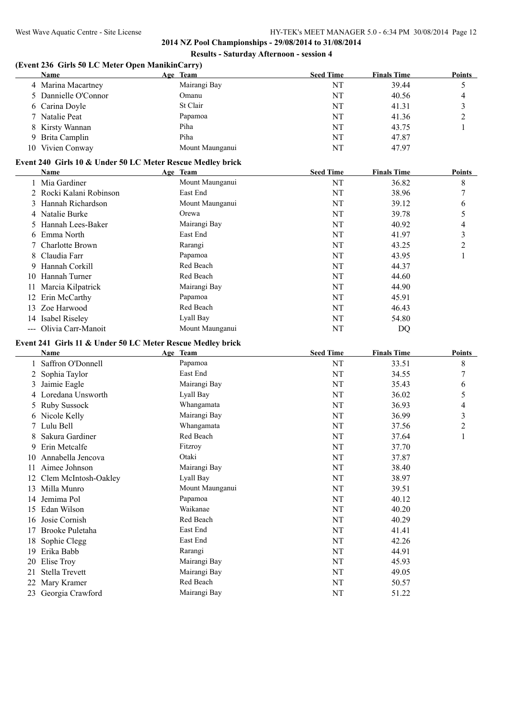## **2014 NZ Pool Championships - 29/08/2014 to 31/08/2014 Results - Saturday Afternoon - session 4**

# **(Event 236 Girls 50 LC Meter Open ManikinCarry)**

|                      | $\sqrt{ }$      |                  |                    |               |
|----------------------|-----------------|------------------|--------------------|---------------|
| Name                 | Age Team        | <b>Seed Time</b> | <b>Finals Time</b> | <b>Points</b> |
| 4 Marina Macartney   | Mairangi Bay    | NT               | 39.44              |               |
| 5 Dannielle O'Connor | Omanu           | NT               | 40.56              |               |
| 6 Carina Doyle       | St Clair        | NT               | 41.31              |               |
| 7 Natalie Peat       | Papamoa         | NT               | 41.36              |               |
| 8 Kirsty Wannan      | Piha            | NT               | 43.75              |               |
| 9 Brita Camplin      | Piha            | NT               | 47.87              |               |
| 10 Vivien Conway     | Mount Maunganui | NT               | 47.97              |               |

#### **Event 240 Girls 10 & Under 50 LC Meter Rescue Medley brick**

|     | <b>Name</b>             | Age Team        | <b>Seed Time</b> | <b>Finals Time</b> | <b>Points</b> |
|-----|-------------------------|-----------------|------------------|--------------------|---------------|
|     | 1 Mia Gardiner          | Mount Maunganui | NT               | 36.82              | 8             |
|     | 2 Rocki Kalani Robinson | East End        | NT               | 38.96              | $\mathcal{I}$ |
|     | 3 Hannah Richardson     | Mount Maunganui | NT               | 39.12              | 6             |
|     | 4 Natalie Burke         | Orewa           | NT               | 39.78              |               |
|     | 5 Hannah Lees-Baker     | Mairangi Bay    | NT               | 40.92              | 4             |
|     | 6 Emma North            | East End        | NT               | 41.97              | 3             |
|     | 7 Charlotte Brown       | Rarangi         | NT               | 43.25              | 2             |
|     | 8 Claudia Farr          | Papamoa         | NT               | 43.95              |               |
|     | 9 Hannah Corkill        | Red Beach       | NT               | 44.37              |               |
| 10. | Hannah Turner           | Red Beach       | NT               | 44.60              |               |
| 11  | Marcia Kilpatrick       | Mairangi Bay    | NT               | 44.90              |               |
| 12  | Erin McCarthy           | Papamoa         | NT               | 45.91              |               |
|     | 13 Zoe Harwood          | Red Beach       | NT               | 46.43              |               |
| 14  | Isabel Riseley          | Lyall Bay       | NT               | 54.80              |               |
|     | --- Olivia Carr-Manoit  | Mount Maunganui | NT               | DQ                 |               |

## **Event 241 Girls 11 & Under 50 LC Meter Rescue Medley brick**

|     | Name                 | Age Team |                 | <b>Seed Time</b> | <b>Finals Time</b> | <b>Points</b>  |
|-----|----------------------|----------|-----------------|------------------|--------------------|----------------|
|     | Saffron O'Donnell    |          | Papamoa         | NT               | 33.51              | 8              |
|     | Sophia Taylor        |          | East End        | NT               | 34.55              | 7              |
| 3.  | Jaimie Eagle         |          | Mairangi Bay    | NT               | 35.43              | 6              |
|     | 4 Loredana Unsworth  |          | Lyall Bay       | NT               | 36.02              | 5              |
|     | 5 Ruby Sussock       |          | Whangamata      | NT               | 36.93              | 4              |
|     | 6 Nicole Kelly       |          | Mairangi Bay    | NT               | 36.99              | 3              |
|     | 7 Lulu Bell          |          | Whangamata      | NT               | 37.56              | $\overline{c}$ |
| 8   | Sakura Gardiner      |          | Red Beach       | NT               | 37.64              |                |
| 9.  | Erin Metcalfe        |          | Fitzroy         | NT               | 37.70              |                |
| 10  | Annabella Jencova    |          | Otaki           | NT               | 37.87              |                |
| 11  | Aimee Johnson        |          | Mairangi Bay    | NT               | 38.40              |                |
| 12  | Clem McIntosh-Oakley |          | Lyall Bay       | NT               | 38.97              |                |
| 13  | Milla Munro          |          | Mount Maunganui | NT               | 39.51              |                |
| 14  | Jemima Pol           |          | Papamoa         | NT               | 40.12              |                |
| 15  | Edan Wilson          |          | Waikanae        | NT               | 40.20              |                |
| 16  | Josie Cornish        |          | Red Beach       | NT               | 40.29              |                |
| 17  | Brooke Puletaha      |          | East End        | NT               | 41.41              |                |
| 18  | Sophie Clegg         |          | East End        | NT               | 42.26              |                |
| 19  | Erika Babb           |          | Rarangi         | NT               | 44.91              |                |
| 20  | Elise Troy           |          | Mairangi Bay    | NT               | 45.93              |                |
| 21  | Stella Trevett       |          | Mairangi Bay    | NT               | 49.05              |                |
| 22  | Mary Kramer          |          | Red Beach       | NT               | 50.57              |                |
| 23. | Georgia Crawford     |          | Mairangi Bay    | NT               | 51.22              |                |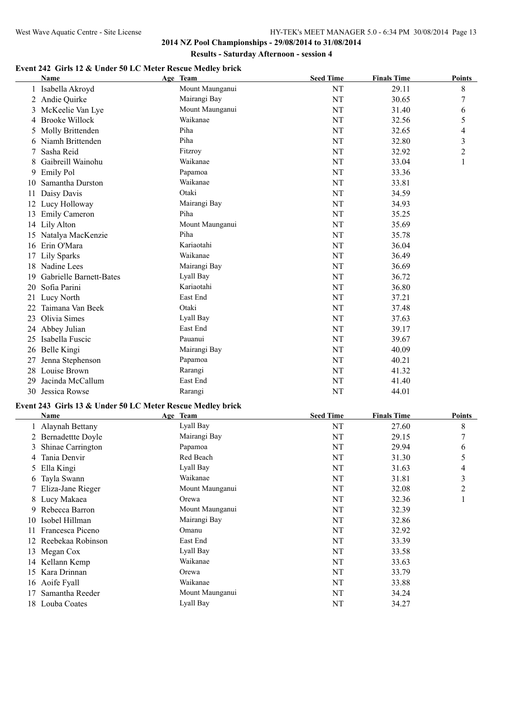# **Event 242 Girls 12 & Under 50 LC Meter Rescue Medley brick**

|    | Name                    | Age Team        | <b>Seed Time</b> | <b>Finals Time</b> | Points         |
|----|-------------------------|-----------------|------------------|--------------------|----------------|
|    | Isabella Akroyd         | Mount Maunganui | NT               | 29.11              | 8              |
| 2  | Andie Quirke            | Mairangi Bay    | NT               | 30.65              | 7              |
| 3  | McKeelie Van Lye        | Mount Maunganui | NT               | 31.40              | 6              |
| 4  | <b>Brooke Willock</b>   | Waikanae        | NT               | 32.56              | 5              |
| 5  | Molly Brittenden        | Piha            | NT               | 32.65              | 4              |
| 6  | Niamh Brittenden        | Piha            | NT               | 32.80              | 3              |
|    | Sasha Reid              | Fitzroy         | NT               | 32.92              | $\overline{c}$ |
| 8  | Gaibreill Wainohu       | Waikanae        | NT               | 33.04              | 1              |
| 9  | <b>Emily Pol</b>        | Papamoa         | NT               | 33.36              |                |
| 10 | Samantha Durston        | Waikanae        | NT               | 33.81              |                |
| 11 | Daisy Davis             | Otaki           | NT               | 34.59              |                |
| 12 | Lucy Holloway           | Mairangi Bay    | NT               | 34.93              |                |
| 13 | Emily Cameron           | Piha            | NT               | 35.25              |                |
| 14 | Lily Alton              | Mount Maunganui | NT               | 35.69              |                |
|    | 15 Natalya MacKenzie    | Piha            | NT               | 35.78              |                |
| 16 | Erin O'Mara             | Kariaotahi      | NT               | 36.04              |                |
|    | <b>Lily Sparks</b>      | Waikanae        | NT               | 36.49              |                |
| 18 | Nadine Lees             | Mairangi Bay    | NT               | 36.69              |                |
| 19 | Gabrielle Barnett-Bates | Lyall Bay       | NT               | 36.72              |                |
| 20 | Sofia Parini            | Kariaotahi      | NT               | 36.80              |                |
| 21 | Lucy North              | East End        | NT               | 37.21              |                |
|    | Taimana Van Beek        | Otaki           | NT               | 37.48              |                |
| 23 | Olivia Simes            | Lyall Bay       | NT               | 37.63              |                |
| 24 | Abbey Julian            | East End        | NT               | 39.17              |                |
| 25 | Isabella Fuscic         | Pauanui         | NT               | 39.67              |                |
|    | 26 Belle Kingi          | Mairangi Bay    | NT               | 40.09              |                |
| 27 | Jenna Stephenson        | Papamoa         | NT               | 40.21              |                |
| 28 | Louise Brown            | Rarangi         | NT               | 41.32              |                |
| 29 | Jacinda McCallum        | East End        | NT               | 41.40              |                |
|    | 30 Jessica Rowse        | Rarangi         | NT               | 44.01              |                |

## **Event 243 Girls 13 & Under 50 LC Meter Rescue Medley brick**

|    | Name                | Age Team        | <b>Seed Time</b> | <b>Finals Time</b> | Points         |
|----|---------------------|-----------------|------------------|--------------------|----------------|
|    | 1 Alaynah Bettany   | Lyall Bay       | NT               | 27.60              | 8              |
|    | 2 Bernadettte Doyle | Mairangi Bay    | NT               | 29.15              | $\overline{7}$ |
|    | 3 Shinae Carrington | Papamoa         | NT               | 29.94              | 6              |
|    | 4 Tania Denvir      | Red Beach       | NT               | 31.30              | 5              |
|    | 5 Ella Kingi        | Lyall Bay       | NT               | 31.63              | 4              |
|    | 6 Tayla Swann       | Waikanae        | NT               | 31.81              | 3              |
|    | 7 Eliza-Jane Rieger | Mount Maunganui | NT               | 32.08              | $\overline{2}$ |
|    | 8 Lucy Makaea       | Orewa           | NT               | 32.36              |                |
|    | 9 Rebecca Barron    | Mount Maunganui | NT               | 32.39              |                |
| 10 | Isobel Hillman      | Mairangi Bay    | NT               | 32.86              |                |
| 11 | Francesca Piceno    | Omanu           | NT               | 32.92              |                |
| 12 | Reebekaa Robinson   | East End        | NT               | 33.39              |                |
| 13 | Megan Cox           | Lyall Bay       | NT               | 33.58              |                |
|    | 14 Kellann Kemp     | Waikanae        | NT               | 33.63              |                |
| 15 | Kara Drinnan        | Orewa           | NT               | 33.79              |                |
|    | 16 Aoife Fyall      | Waikanae        | NT               | 33.88              |                |
| 17 | Samantha Reeder     | Mount Maunganui | NT               | 34.24              |                |
|    | 18 Louba Coates     | Lyall Bay       | NT               | 34.27              |                |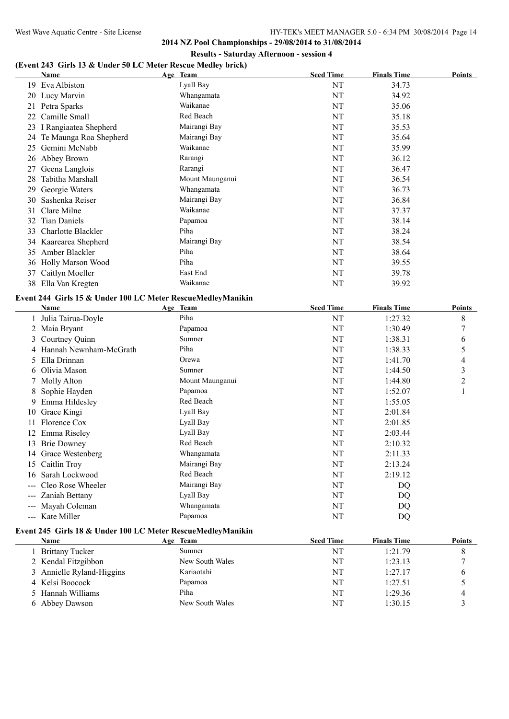$\overline{\phantom{a}}$ 

**2014 NZ Pool Championships - 29/08/2014 to 31/08/2014 Results - Saturday Afternoon - session 4**

## **(Event 243 Girls 13 & Under 50 LC Meter Rescue Medley brick)**

|    | <b>Name</b>              | Age Team        | <b>Seed Time</b> | <b>Finals Time</b> | Points |
|----|--------------------------|-----------------|------------------|--------------------|--------|
| 19 | Eva Albiston             | Lyall Bay       | NT               | 34.73              |        |
| 20 | Lucy Marvin              | Whangamata      | NT               | 34.92              |        |
| 21 | Petra Sparks             | Waikanae        | NT               | 35.06              |        |
| 22 | Camille Small            | Red Beach       | NT               | 35.18              |        |
| 23 | I Rangiaatea Shepherd    | Mairangi Bay    | NT               | 35.53              |        |
| 24 | Te Maunga Roa Shepherd   | Mairangi Bay    | NT               | 35.64              |        |
| 25 | Gemini McNabb            | Waikanae        | NT               | 35.99              |        |
| 26 | Abbey Brown              | Rarangi         | NT               | 36.12              |        |
| 27 | Geena Langlois           | Rarangi         | NT               | 36.47              |        |
| 28 | Tabitha Marshall         | Mount Maunganui | NT               | 36.54              |        |
| 29 | Georgie Waters           | Whangamata      | NT               | 36.73              |        |
| 30 | Sashenka Reiser          | Mairangi Bay    | NT               | 36.84              |        |
| 31 | Clare Milne              | Waikanae        | NT               | 37.37              |        |
| 32 | <b>Tian Daniels</b>      | Papamoa         | NT               | 38.14              |        |
| 33 | Charlotte Blackler       | Piha            | NT               | 38.24              |        |
|    | 34 Kaarearea Shepherd    | Mairangi Bay    | NT               | 38.54              |        |
| 35 | Amber Blackler           | Piha            | NT               | 38.64              |        |
| 36 | <b>Holly Marson Wood</b> | Piha            | NT               | 39.55              |        |
| 37 | Caitlyn Moeller          | East End        | NT               | 39.78              |        |
| 38 | Ella Van Kregten         | Waikanae        | NT               | 39.92              |        |

## **Event 244 Girls 15 & Under 100 LC Meter RescueMedleyManikin**

|    | Name                   | Age Team        | <b>Seed Time</b> | <b>Finals Time</b> | Points |
|----|------------------------|-----------------|------------------|--------------------|--------|
|    | 1 Julia Tairua-Doyle   | Piha            | NT               | 1:27.32            | 8      |
|    | Maia Bryant            | Papamoa         | NT               | 1:30.49            | 7      |
|    | Courtney Quinn         | Sumner          | NT               | 1:38.31            | 6      |
|    | Hannah Newnham-McGrath | Piha            | NT               | 1:38.33            | 5      |
|    | 5 Ella Drinnan         | Orewa           | NT               | 1:41.70            | 4      |
|    | 6 Olivia Mason         | Sumner          | NT               | 1:44.50            | 3      |
|    | 7 Molly Alton          | Mount Maunganui | NT               | 1:44.80            | 2      |
|    | 8 Sophie Hayden        | Papamoa         | NT               | 1:52.07            |        |
|    | Emma Hildesley         | Red Beach       | NT               | 1:55.05            |        |
| 10 | Grace Kingi            | Lyall Bay       | NT               | 2:01.84            |        |
|    | Florence Cox           | Lyall Bay       | NT               | 2:01.85            |        |
|    | Emma Riseley           | Lyall Bay       | NT               | 2:03.44            |        |
| 13 | <b>Brie Downey</b>     | Red Beach       | NT               | 2:10.32            |        |
| 14 | Grace Westenberg       | Whangamata      | NT               | 2:11.33            |        |
| 15 | Caitlin Troy           | Mairangi Bay    | NT               | 2:13.24            |        |
| 16 | Sarah Lockwood         | Red Beach       | NT               | 2:19.12            |        |
|    | Cleo Rose Wheeler      | Mairangi Bay    | NT               | DQ                 |        |
|    | Zaniah Bettany         | Lyall Bay       | NT               | DQ                 |        |
|    | Mayah Coleman          | Whangamata      | NT               | DQ                 |        |
|    | Kate Miller            | Papamoa         | NT               | DQ                 |        |
|    |                        |                 |                  |                    |        |

# **Event 245 Girls 18 & Under 100 LC Meter RescueMedleyManikin**

| Name                      | Age Team        | <b>Seed Time</b> | <b>Finals Time</b> | <b>Points</b> |
|---------------------------|-----------------|------------------|--------------------|---------------|
| <b>Brittany Tucker</b>    | Sumner          | NT               | 1:21.79            |               |
| 2 Kendal Fitzgibbon       | New South Wales | NT               | 1:23.13            |               |
| 3 Annielle Ryland-Higgins | Kariaotahi      | NT               | 1:27.17            |               |
| 4 Kelsi Boocock           | Papamoa         | NT               | 1:27.51            |               |
| 5 Hannah Williams         | Piha            | <b>NT</b>        | 1:29.36            | 4             |
| 6 Abbey Dawson            | New South Wales | NT               | 1:30.15            |               |
|                           |                 |                  |                    |               |